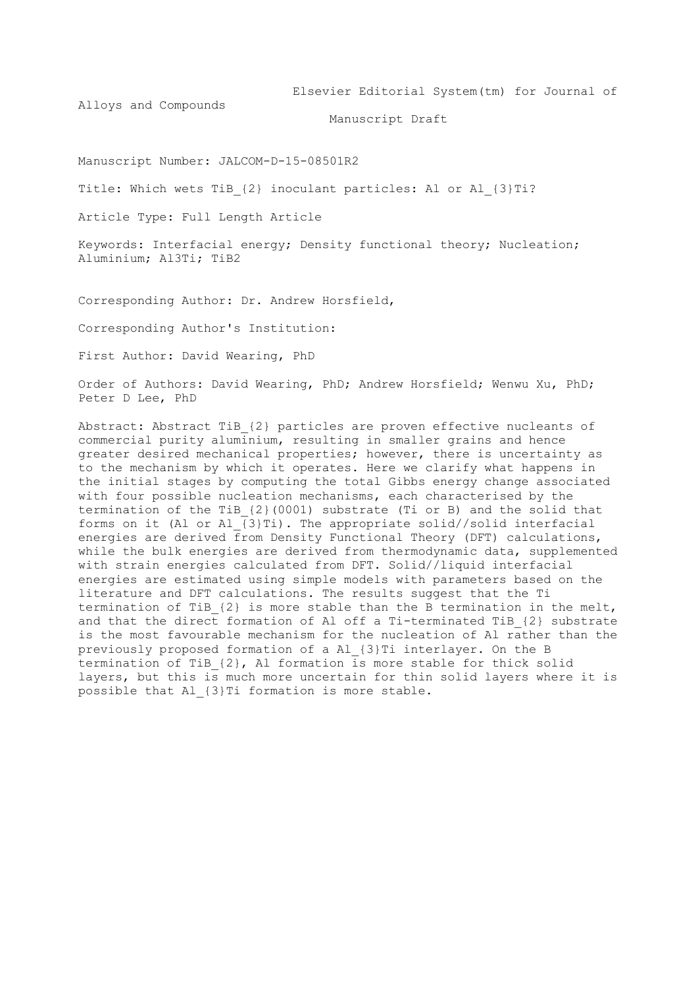Elsevier Editorial System(tm) for Journal of

Alloys and Compounds

Manuscript Draft

Manuscript Number: JALCOM-D-15-08501R2

Title: Which wets TiB {2} inoculant particles: Al or Al {3}Ti?

Article Type: Full Length Article

Keywords: Interfacial energy; Density functional theory; Nucleation; Aluminium; Al3Ti; TiB2

Corresponding Author: Dr. Andrew Horsfield,

Corresponding Author's Institution:

First Author: David Wearing, PhD

Order of Authors: David Wearing, PhD; Andrew Horsfield; Wenwu Xu, PhD; Peter D Lee, PhD

Abstract: Abstract TiB\_{2} particles are proven effective nucleants of commercial purity aluminium, resulting in smaller grains and hence greater desired mechanical properties; however, there is uncertainty as to the mechanism by which it operates. Here we clarify what happens in the initial stages by computing the total Gibbs energy change associated with four possible nucleation mechanisms, each characterised by the termination of the TiB\_{2}(0001) substrate (Ti or B) and the solid that forms on it (Al or Al  $\overline{\{3\}Ti}$ ). The appropriate solid//solid interfacial energies are derived from Density Functional Theory (DFT) calculations, while the bulk energies are derived from thermodynamic data, supplemented with strain energies calculated from DFT. Solid//liquid interfacial energies are estimated using simple models with parameters based on the literature and DFT calculations. The results suggest that the Ti termination of TiB\_{2} is more stable than the B termination in the melt, and that the direct formation of Al off a Ti-terminated TiB {2} substrate is the most favourable mechanism for the nucleation of Al rather than the previously proposed formation of a Al\_{3}Ti interlayer. On the B termination of TiB\_{2}, Al formation is more stable for thick solid layers, but this is much more uncertain for thin solid layers where it is possible that Al\_{3}Ti formation is more stable.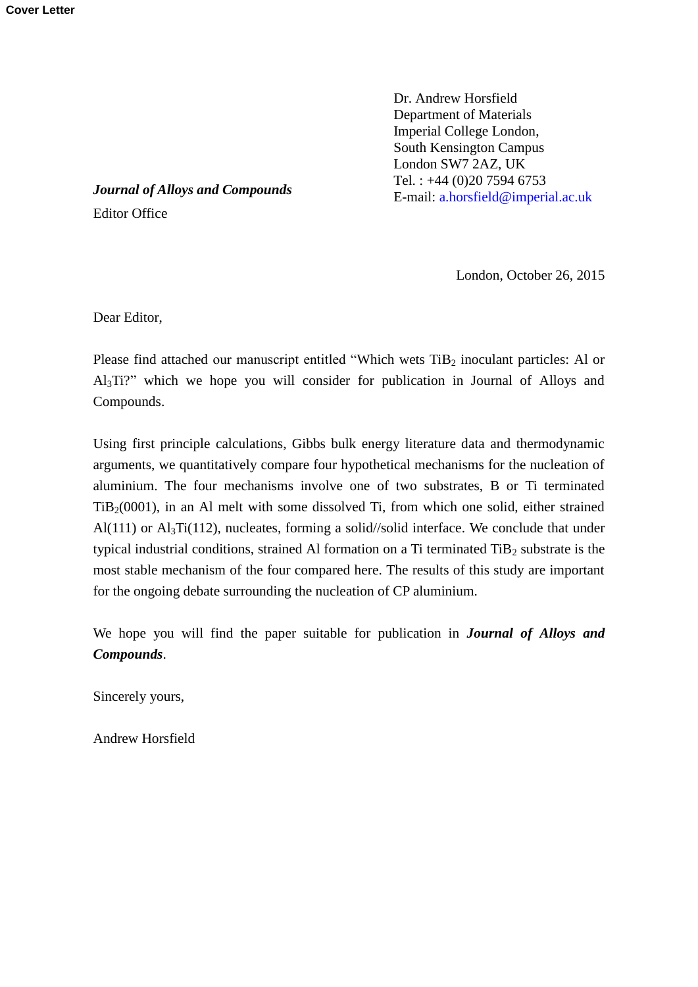Dr. Andrew Horsfield Department of Materials Imperial College London, South Kensington Campus London SW7 2AZ, UK Tel. : +44 (0)20 7594 6753 E-mail: [a.horsfield@imperial.ac.uk](mailto:a.horsfield@imperial.ac.uk)

*Journal of Alloys and Compounds* Editor Office

London, October 26, 2015

Dear Editor,

Please find attached our manuscript entitled "Which wets  $TiB<sub>2</sub>$  inoculant particles: Al or Al3Ti?" which we hope you will consider for publication in Journal of Alloys and Compounds.

Using first principle calculations, Gibbs bulk energy literature data and thermodynamic arguments, we quantitatively compare four hypothetical mechanisms for the nucleation of aluminium. The four mechanisms involve one of two substrates, B or Ti terminated  $TiB<sub>2</sub>(0001)$ , in an Al melt with some dissolved Ti, from which one solid, either strained Al(111) or  $\text{Al}_3\text{Ti}(112)$ , nucleates, forming a solid//solid interface. We conclude that under typical industrial conditions, strained Al formation on a Ti terminated  $TiB_2$  substrate is the most stable mechanism of the four compared here. The results of this study are important for the ongoing debate surrounding the nucleation of CP aluminium.

We hope you will find the paper suitable for publication in *Journal of Alloys and Compounds*.

Sincerely yours,

Andrew Horsfield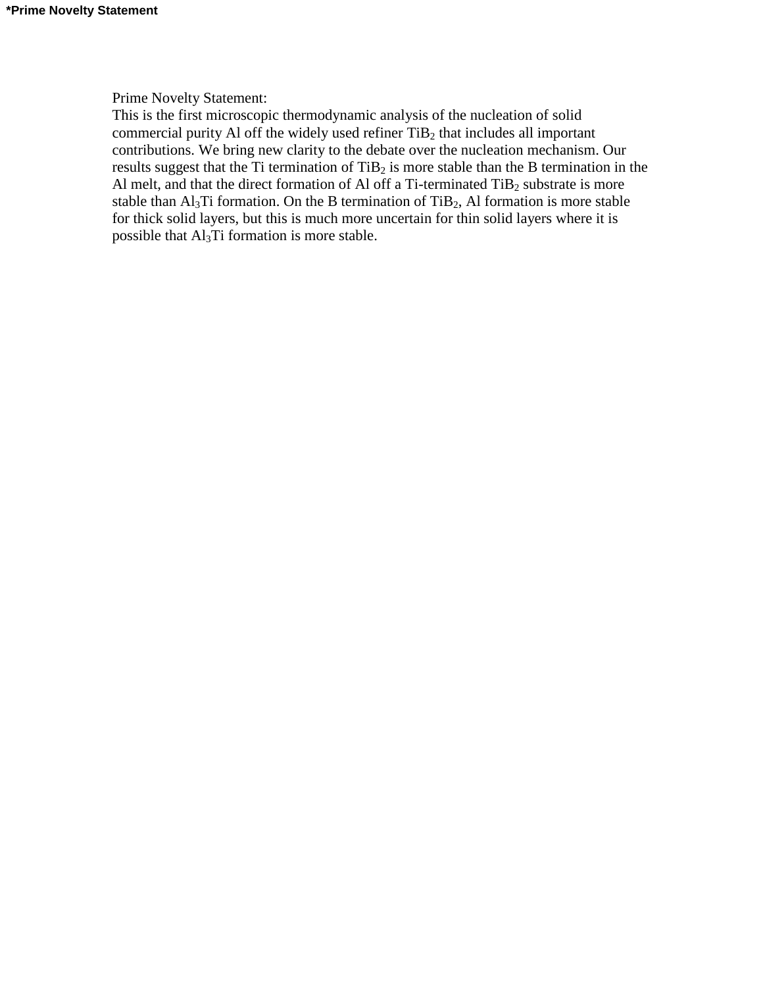# Prime Novelty Statement:

This is the first microscopic thermodynamic analysis of the nucleation of solid commercial purity Al off the widely used refiner  $TiB<sub>2</sub>$  that includes all important contributions. We bring new clarity to the debate over the nucleation mechanism. Our results suggest that the Ti termination of  $TiB<sub>2</sub>$  is more stable than the B termination in the Al melt, and that the direct formation of Al off a Ti-terminated  $TiB<sub>2</sub>$  substrate is more stable than  $Al<sub>3</sub>Ti$  formation. On the B termination of TiB<sub>2</sub>, Al formation is more stable for thick solid layers, but this is much more uncertain for thin solid layers where it is possible that  $Al<sub>3</sub>Ti$  formation is more stable.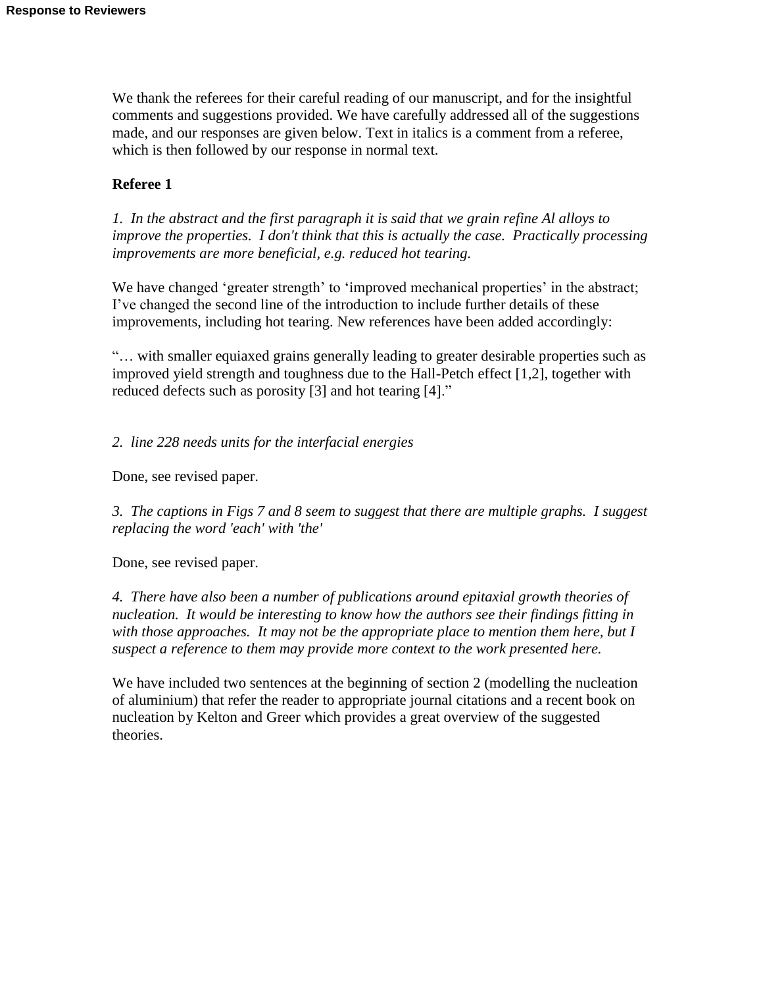We thank the referees for their careful reading of our manuscript, and for the insightful comments and suggestions provided. We have carefully addressed all of the suggestions made, and our responses are given below. Text in italics is a comment from a referee, which is then followed by our response in normal text.

# **Referee 1**

*1. In the abstract and the first paragraph it is said that we grain refine Al alloys to improve the properties. I don't think that this is actually the case. Practically processing improvements are more beneficial, e.g. reduced hot tearing.*

We have changed 'greater strength' to 'improved mechanical properties' in the abstract; I've changed the second line of the introduction to include further details of these improvements, including hot tearing. New references have been added accordingly:

"… with smaller equiaxed grains generally leading to greater desirable properties such as improved yield strength and toughness due to the Hall-Petch effect [1,2], together with reduced defects such as porosity [3] and hot tearing [4]."

*2. line 228 needs units for the interfacial energies*

Done, see revised paper.

*3. The captions in Figs 7 and 8 seem to suggest that there are multiple graphs. I suggest replacing the word 'each' with 'the'*

Done, see revised paper.

*4. There have also been a number of publications around epitaxial growth theories of nucleation. It would be interesting to know how the authors see their findings fitting in with those approaches. It may not be the appropriate place to mention them here, but I suspect a reference to them may provide more context to the work presented here.*

We have included two sentences at the beginning of section 2 (modelling the nucleation of aluminium) that refer the reader to appropriate journal citations and a recent book on nucleation by Kelton and Greer which provides a great overview of the suggested theories.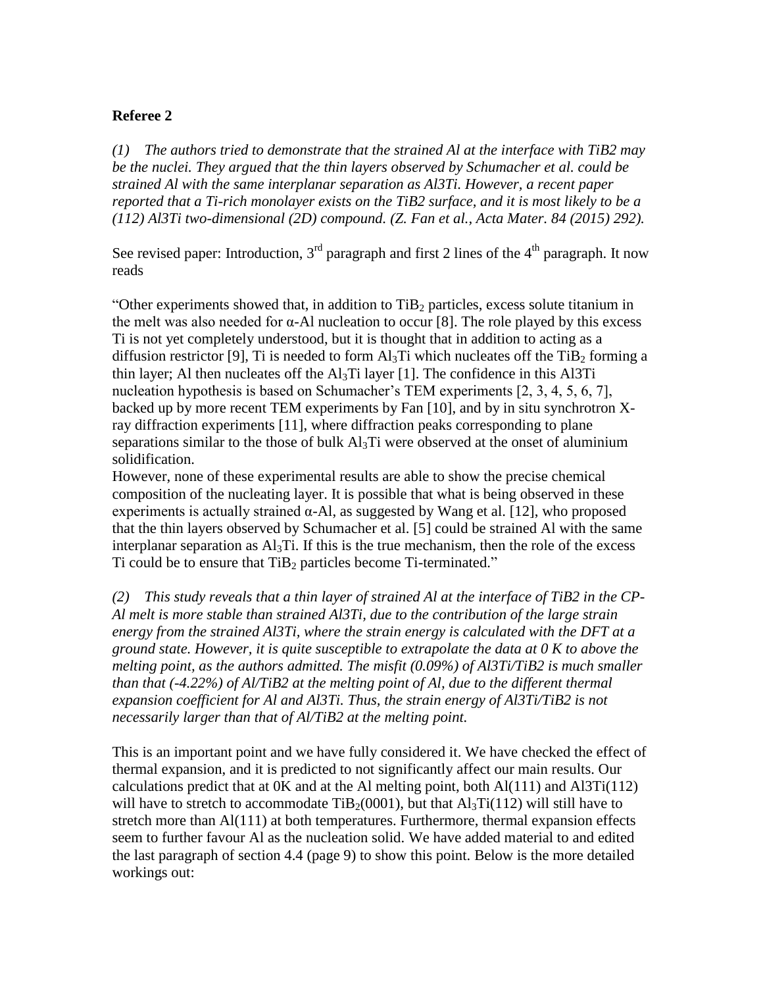# **Referee 2**

*(1) The authors tried to demonstrate that the strained Al at the interface with TiB2 may be the nuclei. They argued that the thin layers observed by Schumacher et al. could be strained Al with the same interplanar separation as Al3Ti. However, a recent paper reported that a Ti-rich monolayer exists on the TiB2 surface, and it is most likely to be a (112) Al3Ti two-dimensional (2D) compound. (Z. Fan et al., Acta Mater. 84 (2015) 292).*

See revised paper: Introduction,  $3<sup>rd</sup>$  paragraph and first 2 lines of the 4<sup>th</sup> paragraph. It now reads

"Other experiments showed that, in addition to  $TiB<sub>2</sub>$  particles, excess solute titanium in the melt was also needed for  $\alpha$ -Al nucleation to occur [8]. The role played by this excess Ti is not yet completely understood, but it is thought that in addition to acting as a diffusion restrictor [9], Ti is needed to form  $\text{Al}_3\text{Ti}$  which nucleates off the TiB<sub>2</sub> forming a thin layer; Al then nucleates off the  $Al<sub>3</sub>Ti$  layer [1]. The confidence in this Al3Ti nucleation hypothesis is based on Schumacher's TEM experiments [2, 3, 4, 5, 6, 7], backed up by more recent TEM experiments by Fan [10], and by in situ synchrotron Xray diffraction experiments [11], where diffraction peaks corresponding to plane separations similar to the those of bulk  $Al<sub>3</sub>Ti$  were observed at the onset of aluminium solidification.

However, none of these experimental results are able to show the precise chemical composition of the nucleating layer. It is possible that what is being observed in these experiments is actually strained  $\alpha$ -Al, as suggested by Wang et al. [12], who proposed that the thin layers observed by Schumacher et al. [5] could be strained Al with the same interplanar separation as  $Al<sub>3</sub>Ti$ . If this is the true mechanism, then the role of the excess Ti could be to ensure that  $TiB<sub>2</sub>$  particles become Ti-terminated."

*(2) This study reveals that a thin layer of strained Al at the interface of TiB2 in the CP-Al melt is more stable than strained Al3Ti, due to the contribution of the large strain energy from the strained Al3Ti, where the strain energy is calculated with the DFT at a ground state. However, it is quite susceptible to extrapolate the data at 0 K to above the melting point, as the authors admitted. The misfit (0.09%) of Al3Ti/TiB2 is much smaller than that (-4.22%) of Al/TiB2 at the melting point of Al, due to the different thermal expansion coefficient for Al and Al3Ti. Thus, the strain energy of Al3Ti/TiB2 is not necessarily larger than that of Al/TiB2 at the melting point.*

This is an important point and we have fully considered it. We have checked the effect of thermal expansion, and it is predicted to not significantly affect our main results. Our calculations predict that at  $0K$  and at the Al melting point, both  $Al(111)$  and  $Al3Ti(112)$ will have to stretch to accommodate TiB<sub>2</sub>(0001), but that  $Al_3Ti(112)$  will still have to stretch more than Al(111) at both temperatures. Furthermore, thermal expansion effects seem to further favour Al as the nucleation solid. We have added material to and edited the last paragraph of section 4.4 (page 9) to show this point. Below is the more detailed workings out: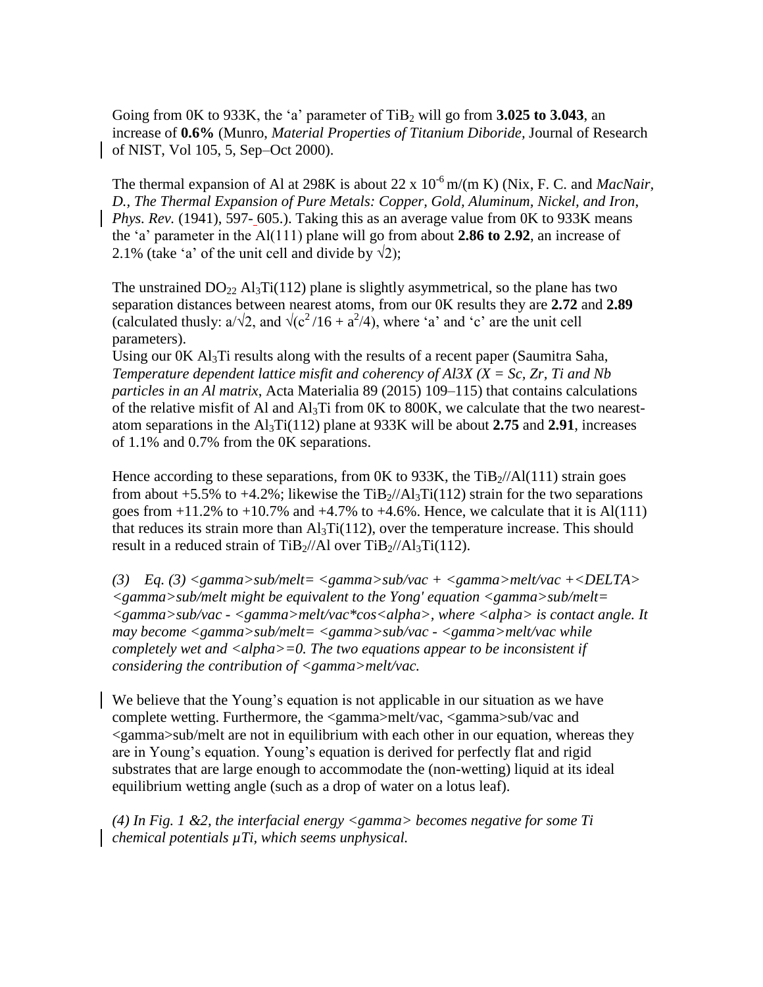Going from 0K to 933K, the 'a' parameter of  $TiB<sub>2</sub>$  will go from **3.025 to 3.043**, an increase of **0.6%** (Munro, *Material Properties of Titanium Diboride,* Journal of Research of NIST, Vol 105, 5, Sep–Oct 2000).

The thermal expansion of Al at 298K is about 22 x  $10^{-6}$  m/(m K) (Nix, F. C. and *MacNair*. *D., The Thermal Expansion of Pure Metals: Copper, Gold, Aluminum, Nickel, and Iron*, *Phys. Rev.* (1941), 597- 605.). Taking this as an average value from 0K to 933K means the 'a' parameter in the Al(111) plane will go from about **2.86 to 2.92**, an increase of 2.1% (take 'a' of the unit cell and divide by  $\sqrt{2}$ );

The unstrained  $DO_{22}$  Al<sub>3</sub>Ti(112) plane is slightly asymmetrical, so the plane has two separation distances between nearest atoms, from our 0K results they are **2.72** and **2.89** (calculated thusly:  $a/\sqrt{2}$ , and  $\sqrt{(c^2/16 + a^2/4)}$ , where 'a' and 'c' are the unit cell parameters).

Using our 0K Al<sub>3</sub>Ti results along with the results of a recent paper (Saumitra Saha, *Temperature dependent lattice misfit and coherency of Al3X (X = Sc, Zr, Ti and Nb particles in an Al matrix*, Acta Materialia 89 (2015) 109–115) that contains calculations of the relative misfit of Al and  $Al_3Ti$  from 0K to 800K, we calculate that the two nearestatom separations in the Al3Ti(112) plane at 933K will be about **2.75** and **2.91**, increases of 1.1% and 0.7% from the 0K separations.

Hence according to these separations, from  $0K$  to 933K, the TiB $_2$ //Al(111) strain goes from about +5.5% to +4.2%; likewise the  $\text{TiB}_2/\text{/Al}_3\text{Ti}(112)$  strain for the two separations goes from  $+11.2\%$  to  $+10.7\%$  and  $+4.7\%$  to  $+4.6\%$ . Hence, we calculate that it is Al(111) that reduces its strain more than  $\text{Al}_3\text{Ti}(112)$ , over the temperature increase. This should result in a reduced strain of TiB $_2$ //Al over TiB $_2$ //Al $_3$ Ti(112).

*(3) Eq. (3) <gamma>sub/melt= <gamma>sub/vac + <gamma>melt/vac +<DELTA> <gamma>sub/melt might be equivalent to the Yong' equation <gamma>sub/melt= <gamma>sub/vac - <gamma>melt/vac\*cos<alpha>, where <alpha> is contact angle. It may become <gamma>sub/melt= <gamma>sub/vac - <gamma>melt/vac while completely wet and <alpha>=0. The two equations appear to be inconsistent if considering the contribution of <gamma>melt/vac.*

We believe that the Young's equation is not applicable in our situation as we have complete wetting. Furthermore, the <gamma>melt/vac, <gamma>sub/vac and <gamma>sub/melt are not in equilibrium with each other in our equation, whereas they are in Young's equation. Young's equation is derived for perfectly flat and rigid substrates that are large enough to accommodate the (non-wetting) liquid at its ideal equilibrium wetting angle (such as a drop of water on a lotus leaf).

*(4) In Fig. 1 &2, the interfacial energy <gamma> becomes negative for some Ti chemical potentials µTi, which seems unphysical.*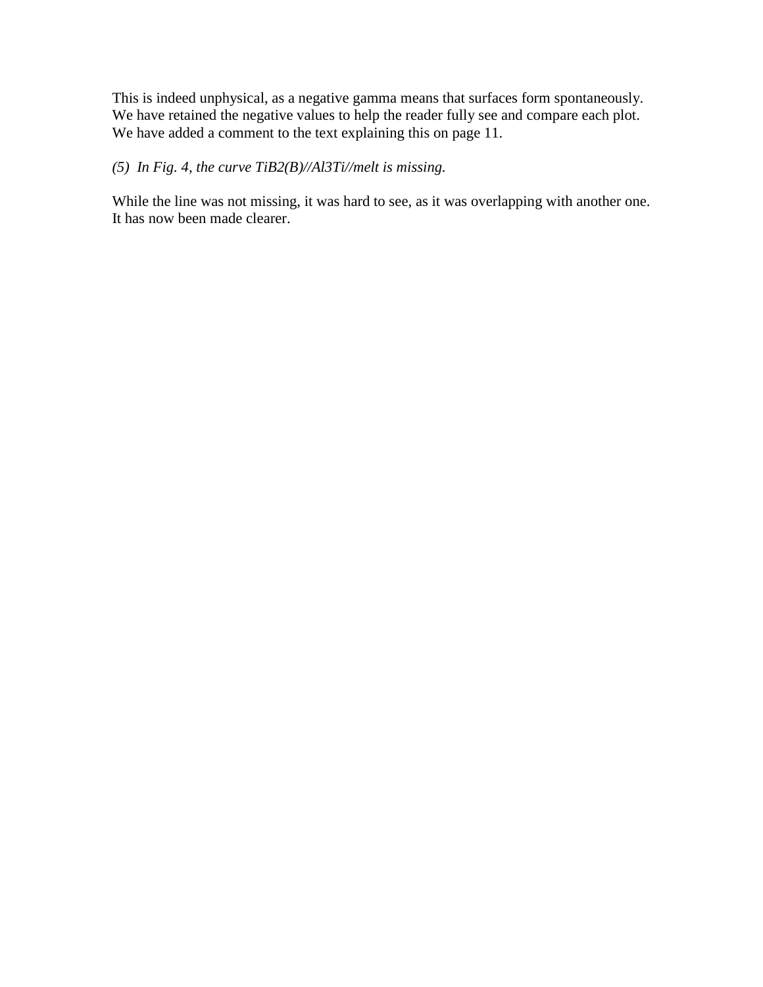This is indeed unphysical, as a negative gamma means that surfaces form spontaneously. We have retained the negative values to help the reader fully see and compare each plot. We have added a comment to the text explaining this on page 11.

# *(5) In Fig. 4, the curve TiB2(B)//Al3Ti//melt is missing.*

While the line was not missing, it was hard to see, as it was overlapping with another one. It has now been made clearer.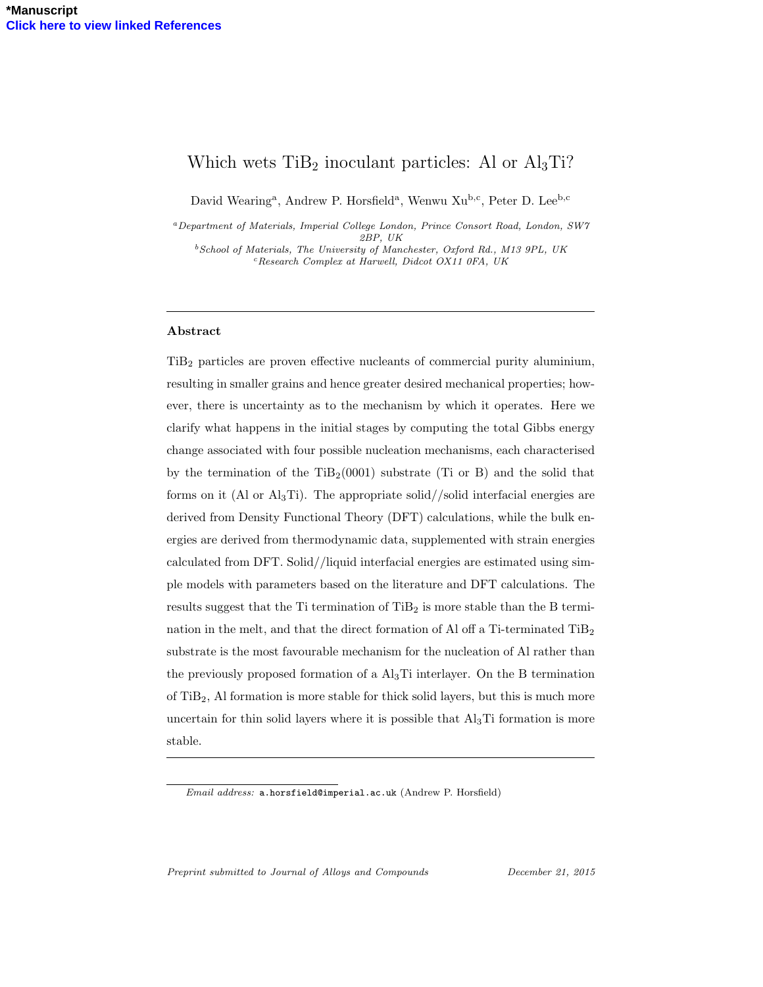# Which wets  $TiB<sub>2</sub>$  inoculant particles: Al or  $Al<sub>3</sub>Ti$ ?

David Wearing<sup>a</sup>, Andrew P. Horsfield<sup>a</sup>, Wenwu Xu<sup>b,c</sup>, Peter D. Lee<sup>b,c</sup>

<sup>a</sup>Department of Materials, Imperial College London, Prince Consort Road, London, SW7 2BP, UK

 $b$  School of Materials, The University of Manchester, Oxford Rd., M13 9PL, UK  $c$ Research Complex at Harwell, Didcot OX11 0FA, UK

#### Abstract

TiB<sup>2</sup> particles are proven effective nucleants of commercial purity aluminium, resulting in smaller grains and hence greater desired mechanical properties; however, there is uncertainty as to the mechanism by which it operates. Here we clarify what happens in the initial stages by computing the total Gibbs energy change associated with four possible nucleation mechanisms, each characterised by the termination of the  $TiB_2(0001)$  substrate (Ti or B) and the solid that forms on it (Al or  $\text{Al}_3\text{Ti}$ ). The appropriate solid//solid interfacial energies are derived from Density Functional Theory (DFT) calculations, while the bulk energies are derived from thermodynamic data, supplemented with strain energies calculated from DFT. Solid//liquid interfacial energies are estimated using simple models with parameters based on the literature and DFT calculations. The results suggest that the Ti termination of  $TiB_2$  is more stable than the B termination in the melt, and that the direct formation of Al off a Ti-terminated  $TiB<sub>2</sub>$ substrate is the most favourable mechanism for the nucleation of Al rather than the previously proposed formation of a  $\text{Al}_3\text{Ti}$  interlayer. On the B termination of  $TiB<sub>2</sub>$ , Al formation is more stable for thick solid layers, but this is much more uncertain for thin solid layers where it is possible that  $\text{Al}_3\text{Ti}$  formation is more stable.

Preprint submitted to Journal of Alloys and Compounds December 21, 2015

Email address: a.horsfield@imperial.ac.uk (Andrew P. Horsfield)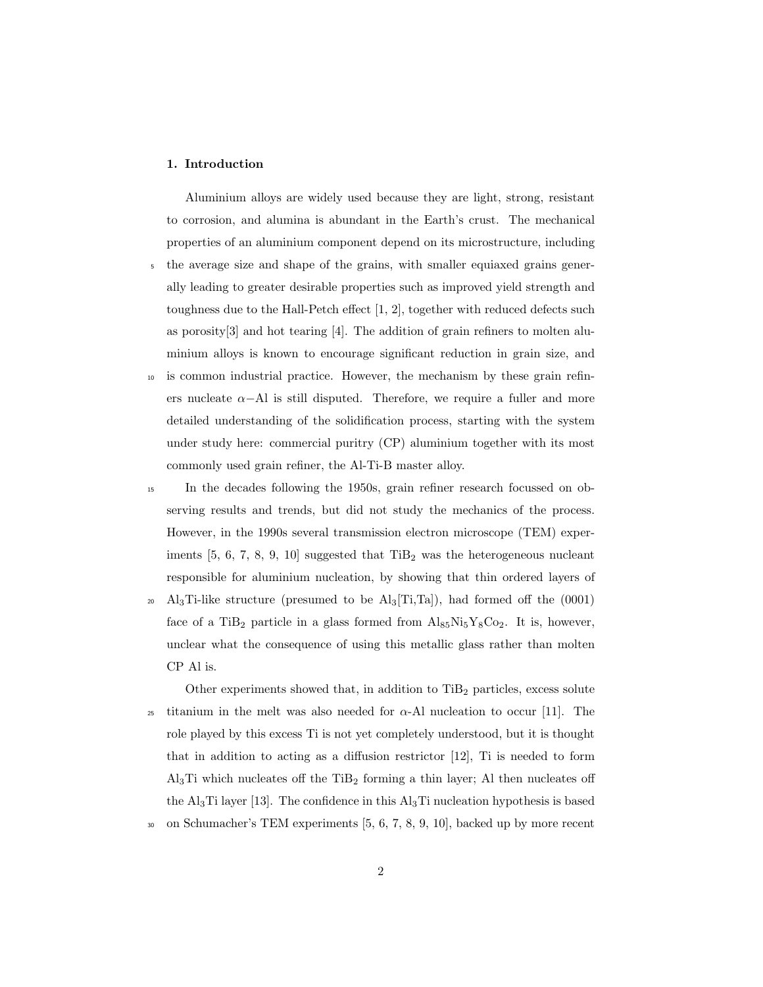### 1. Introduction

Aluminium alloys are widely used because they are light, strong, resistant to corrosion, and alumina is abundant in the Earth's crust. The mechanical properties of an aluminium component depend on its microstructure, including <sup>5</sup> the average size and shape of the grains, with smaller equiaxed grains gener-

- ally leading to greater desirable properties such as improved yield strength and toughness due to the Hall-Petch effect [1, 2], together with reduced defects such as porosity  $[3]$  and hot tearing  $[4]$ . The addition of grain refiners to molten aluminium alloys is known to encourage significant reduction in grain size, and
- <sup>10</sup> is common industrial practice. However, the mechanism by these grain refiners nucleate  $\alpha$ −Al is still disputed. Therefore, we require a fuller and more detailed understanding of the solidification process, starting with the system under study here: commercial puritry (CP) aluminium together with its most commonly used grain refiner, the Al-Ti-B master alloy.
- <sup>15</sup> In the decades following the 1950s, grain refiner research focussed on observing results and trends, but did not study the mechanics of the process. However, in the 1990s several transmission electron microscope (TEM) experiments  $[5, 6, 7, 8, 9, 10]$  suggested that  $TiB<sub>2</sub>$  was the heterogeneous nucleant responsible for aluminium nucleation, by showing that thin ordered layers of
- <sup>20</sup> Al<sub>3</sub>Ti-like structure (presumed to be Al<sub>3</sub>[Ti,Ta]), had formed off the  $(0001)$ face of a TiB<sub>2</sub> particle in a glass formed from  $\text{Al}_{85}\text{Ni}_{5}\text{Y}_{8}\text{Co}_{2}$ . It is, however, unclear what the consequence of using this metallic glass rather than molten CP Al is.

Other experiments showed that, in addition to  $TiB<sub>2</sub>$  particles, excess solute 25 titanium in the melt was also needed for  $\alpha$ -Al nucleation to occur [11]. The role played by this excess Ti is not yet completely understood, but it is thought that in addition to acting as a diffusion restrictor [12], Ti is needed to form  $\text{Al}_3\text{Ti}$  which nucleates off the TiB<sub>2</sub> forming a thin layer; Al then nucleates off the  $\text{Al}_3\text{Ti}$  layer [13]. The confidence in this  $\text{Al}_3\text{Ti}$  nucleation hypothesis is based <sup>30</sup> on Schumacher's TEM experiments [5, 6, 7, 8, 9, 10], backed up by more recent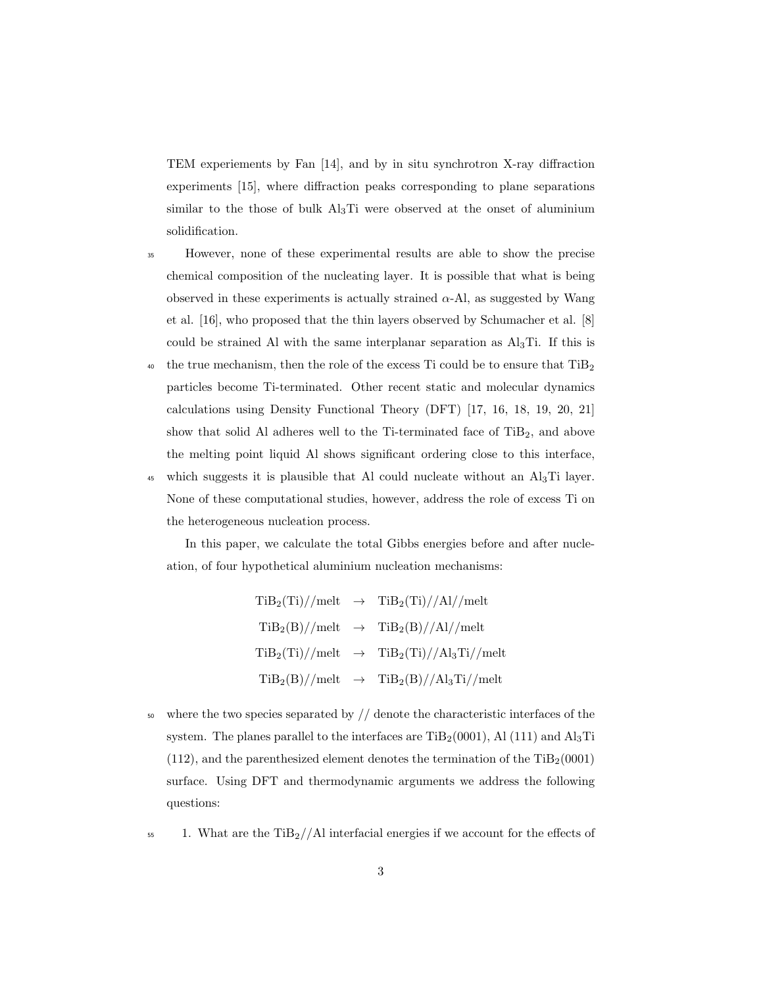TEM experiements by Fan [14], and by in situ synchrotron X-ray diffraction experiments [15], where diffraction peaks corresponding to plane separations similar to the those of bulk Al3Ti were observed at the onset of aluminium solidification.

- <sup>35</sup> However, none of these experimental results are able to show the precise chemical composition of the nucleating layer. It is possible that what is being observed in these experiments is actually strained  $\alpha$ -Al, as suggested by Wang et al. [16], who proposed that the thin layers observed by Schumacher et al. [8] could be strained Al with the same interplanar separation as Al3Ti. If this is
- <sup>40</sup> the true mechanism, then the role of the excess Ti could be to ensure that  $TiB<sub>2</sub>$ particles become Ti-terminated. Other recent static and molecular dynamics calculations using Density Functional Theory (DFT) [17, 16, 18, 19, 20, 21] show that solid Al adheres well to the Ti-terminated face of  $TiB<sub>2</sub>$ , and above the melting point liquid Al shows significant ordering close to this interface,
- 45 which suggests it is plausible that Al could nucleate without an  $\text{Al}_3\text{Ti}$  layer. None of these computational studies, however, address the role of excess Ti on the heterogeneous nucleation process.

In this paper, we calculate the total Gibbs energies before and after nucleation, of four hypothetical aluminium nucleation mechanisms:

> $TiB_2(Ti)/*melt* \rightarrow TiB_2(Ti)/*A*l/*melt*$  $TiB_2(B)//melt$   $\rightarrow$   $TiB_2(B)//Al)/melt$  $TiB_2(Ti)/*melt* \rightarrow TiB_2(Ti)/*A*l<sub>3</sub>Ti/*melt*$  $TiB_2(B)//melt$   $\rightarrow$   $TiB_2(B)//Al_3Ti//melt$

- $50$  where the two species separated by  $//$  denote the characteristic interfaces of the system. The planes parallel to the interfaces are  $\text{TiB}_2(0001)$ , Al (111) and Al<sub>3</sub>Ti  $(112)$ , and the parenthesized element denotes the termination of the  $\text{TiB}_2(0001)$ surface. Using DFT and thermodynamic arguments we address the following questions:
- $155 1.$  What are the TiB<sub>2</sub>//Al interfacial energies if we account for the effects of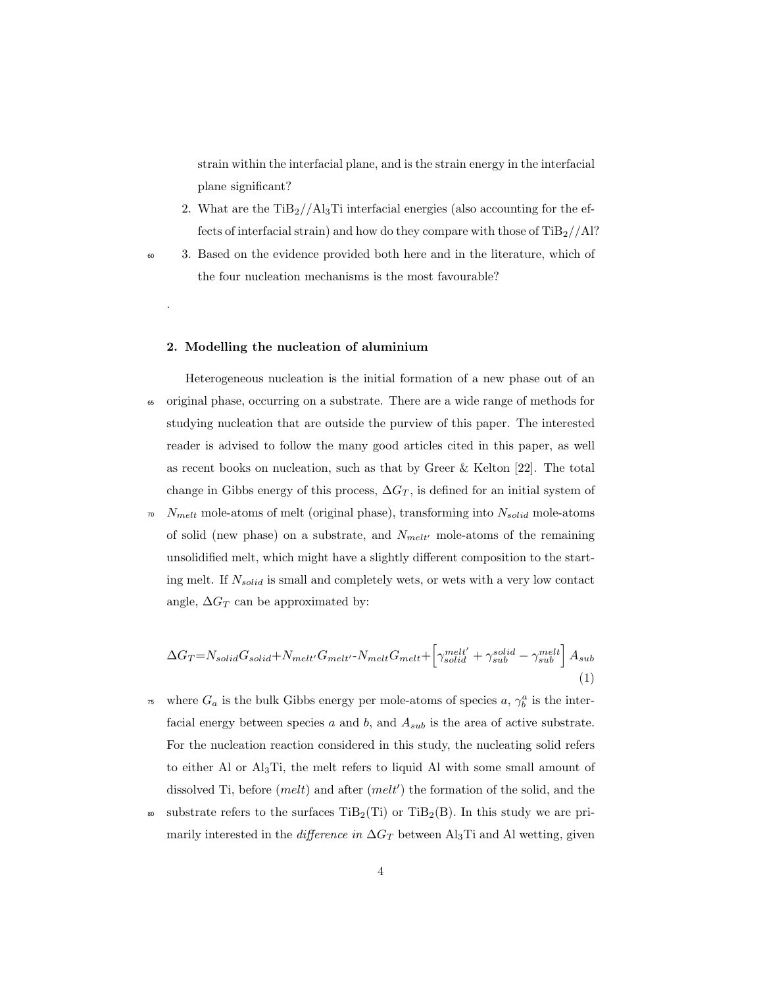strain within the interfacial plane, and is the strain energy in the interfacial plane significant?

- 2. What are the  $TiB_2//A_3Ti$  interfacial energies (also accounting for the effects of interfacial strain) and how do they compare with those of  $\rm TiB_2//Al?$
- 

.

<sup>60</sup> 3. Based on the evidence provided both here and in the literature, which of the four nucleation mechanisms is the most favourable?

## 2. Modelling the nucleation of aluminium

Heterogeneous nucleation is the initial formation of a new phase out of an <sup>65</sup> original phase, occurring on a substrate. There are a wide range of methods for studying nucleation that are outside the purview of this paper. The interested reader is advised to follow the many good articles cited in this paper, as well as recent books on nucleation, such as that by Greer & Kelton [22]. The total change in Gibbs energy of this process,  $\Delta G_T$ , is defined for an initial system of

 $N_{melt}$  mole-atoms of melt (original phase), transforming into  $N_{solid}$  mole-atoms of solid (new phase) on a substrate, and  $N_{melt'}$  mole-atoms of the remaining unsolidified melt, which might have a slightly different composition to the starting melt. If  $N_{solid}$  is small and completely wets, or wets with a very low contact angle,  $\Delta G_T$  can be approximated by:

$$
\Delta G_T = N_{solid} G_{solid} + N_{melt'} G_{melt'} - N_{melt} G_{melt} + \left[ \gamma_{solid}^{melt'} + \gamma_{sub}^{solid} - \gamma_{sub}^{melt} \right] A_{sub}
$$
\n(1)

- <sup>75</sup> where  $G_a$  is the bulk Gibbs energy per mole-atoms of species a,  $\gamma_b^a$  is the interfacial energy between species  $a$  and  $b$ , and  $A_{sub}$  is the area of active substrate. For the nucleation reaction considered in this study, the nucleating solid refers to either Al or Al3Ti, the melt refers to liquid Al with some small amount of dissolved Ti, before  $(melt)$  and after  $(melt')$  the formation of the solid, and the
- <sup>80</sup> substrate refers to the surfaces  $\text{TiB}_2(\text{Ti})$  or  $\text{TiB}_2(\text{B})$ . In this study we are primarily interested in the *difference in*  $\Delta G_T$  between Al<sub>3</sub>Ti and Al wetting, given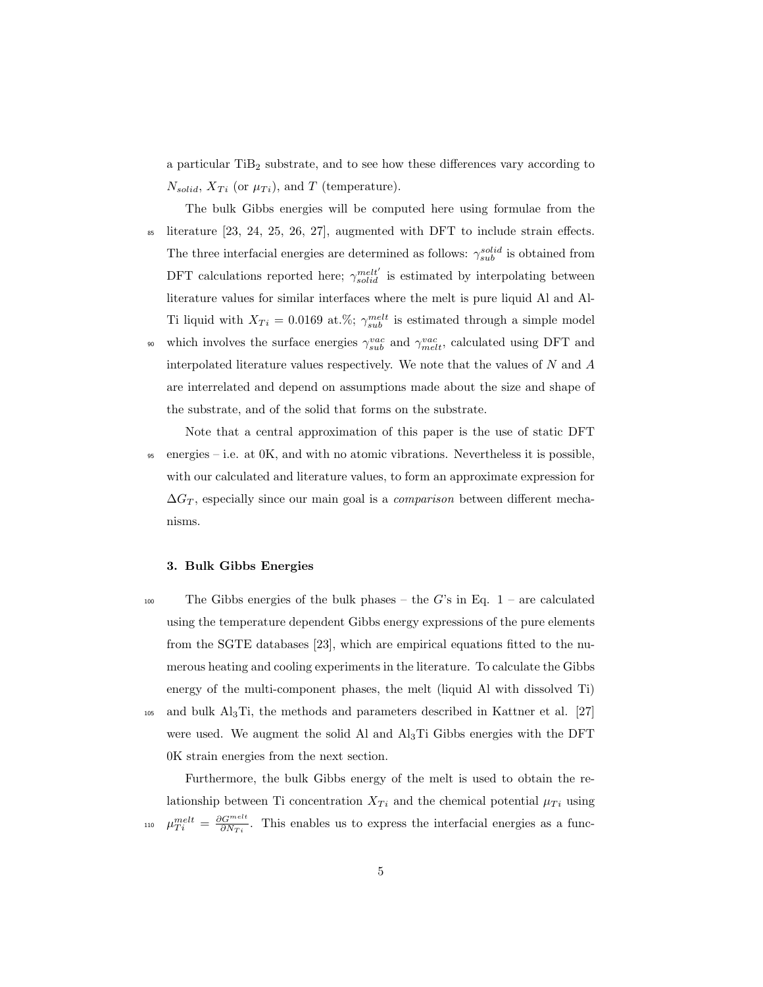a particular TiB<sub>2</sub> substrate, and to see how these differences vary according to  $N_{solid}, X_{Ti}$  (or  $\mu_{Ti}$ ), and T (temperature).

- The bulk Gibbs energies will be computed here using formulae from the  $\delta$ <sub>85</sub> literature [23, 24, 25, 26, 27], augmented with DFT to include strain effects. The three interfacial energies are determined as follows:  $\gamma_{sub}^{solid}$  is obtained from DFT calculations reported here;  $\gamma_{solid}^{melt'}$  is estimated by interpolating between literature values for similar interfaces where the melt is pure liquid Al and Al-Ti liquid with  $X_{Ti} = 0.0169$  at.%;  $\gamma_{sub}^{melt}$  is estimated through a simple model which involves the surface energies  $\gamma_{sub}^{vac}$  and  $\gamma_{melt}^{vac}$ , calculated using DFT and interpolated literature values respectively. We note that the values of  $N$  and  $\overline{A}$ 
	- are interrelated and depend on assumptions made about the size and shape of the substrate, and of the solid that forms on the substrate.

Note that a central approximation of this paper is the use of static DFT <sup>95</sup> energies – i.e. at 0K, and with no atomic vibrations. Nevertheless it is possible, with our calculated and literature values, to form an approximate expression for  $\Delta G_T$ , especially since our main goal is a *comparison* between different mechanisms.

#### 3. Bulk Gibbs Energies

- 100 The Gibbs energies of the bulk phases the G's in Eq.  $1$  are calculated using the temperature dependent Gibbs energy expressions of the pure elements from the SGTE databases [23], which are empirical equations fitted to the numerous heating and cooling experiments in the literature. To calculate the Gibbs energy of the multi-component phases, the melt (liquid Al with dissolved Ti) <sup>105</sup> and bulk Al3Ti, the methods and parameters described in Kattner et al. [27]
	- were used. We augment the solid Al and Al3Ti Gibbs energies with the DFT 0K strain energies from the next section.

Furthermore, the bulk Gibbs energy of the melt is used to obtain the relationship between Ti concentration  $X_{Ti}$  and the chemical potential  $\mu_{Ti}$  using <sup>110</sup>  $\mu_{Ti}^{melt} = \frac{\partial G^{melt}}{\partial N_{Ti}}$ . This enables us to express the interfacial energies as a func-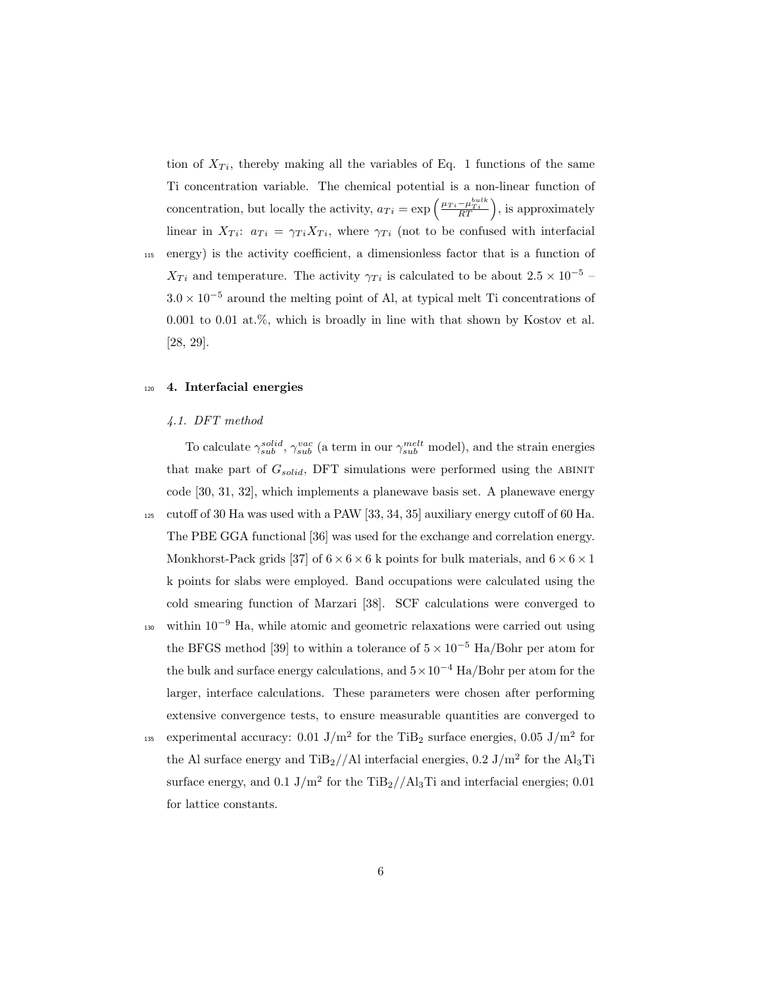tion of  $X_{Ti}$ , thereby making all the variables of Eq. 1 functions of the same Ti concentration variable. The chemical potential is a non-linear function of concentration, but locally the activity,  $a_{Ti} = \exp\left(\frac{\mu_{Ti} - \mu_{Ti}^{bulk}}{RT}\right)$ , is approximately linear in  $X_{Ti}$ :  $a_{Ti} = \gamma_{Ti} X_{Ti}$ , where  $\gamma_{Ti}$  (not to be confused with interfacial <sup>115</sup> energy) is the activity coefficient, a dimensionless factor that is a function of  $X_{Ti}$  and temperature. The activity  $\gamma_{Ti}$  is calculated to be about 2.5 × 10<sup>-5</sup> –  $3.0 \times 10^{-5}$  around the melting point of Al, at typical melt Ti concentrations of 0.001 to 0.01 at.%, which is broadly in line with that shown by Kostov et al. [28, 29].

#### <sup>120</sup> 4. Interfacial energies

#### 4.1. DFT method

To calculate  $\gamma_{sub}^{solid}$ ,  $\gamma_{sub}^{vac}$  (a term in our  $\gamma_{sub}^{melt}$  model), and the strain energies that make part of  $G_{solid}$ , DFT simulations were performed using the ABINIT code [30, 31, 32], which implements a planewave basis set. A planewave energy <sup>125</sup> cutoff of 30 Ha was used with a PAW [33, 34, 35] auxiliary energy cutoff of 60 Ha. The PBE GGA functional [36] was used for the exchange and correlation energy. Monkhorst-Pack grids [37] of  $6 \times 6 \times 6$  k points for bulk materials, and  $6 \times 6 \times 1$ k points for slabs were employed. Band occupations were calculated using the cold smearing function of Marzari [38]. SCF calculations were converged to  $_{130}$  within  $10^{-9}$  Ha, while atomic and geometric relaxations were carried out using the BFGS method [39] to within a tolerance of  $5 \times 10^{-5}$  Ha/Bohr per atom for the bulk and surface energy calculations, and  $5 \times 10^{-4}$  Ha/Bohr per atom for the larger, interface calculations. These parameters were chosen after performing extensive convergence tests, to ensure measurable quantities are converged to <sup>135</sup> experimental accuracy: 0.01 J/m<sup>2</sup> for the TiB<sub>2</sub> surface energies, 0.05 J/m<sup>2</sup> for

the Al surface energy and  $\text{TiB}_2/\text{/Al}$  interfacial energies, 0.2 J/m<sup>2</sup> for the Al<sub>3</sub>Ti surface energy, and  $0.1 \text{ J/m}^2$  for the TiB<sub>2</sub>//Al<sub>3</sub>Ti and interfacial energies; 0.01 for lattice constants.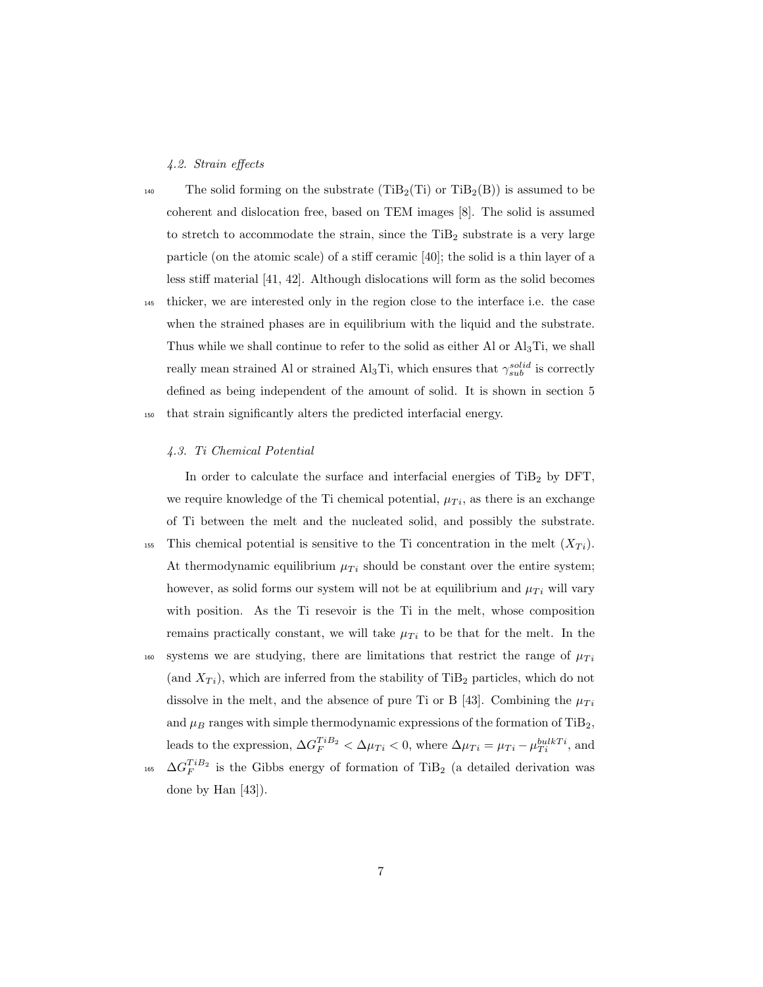### 4.2. Strain effects

- <sup>140</sup> The solid forming on the substrate  $(TiB_2(Ti))$  or  $TiB_2(B)$  is assumed to be coherent and dislocation free, based on TEM images [8]. The solid is assumed to stretch to accommodate the strain, since the  $TiB<sub>2</sub>$  substrate is a very large particle (on the atomic scale) of a stiff ceramic [40]; the solid is a thin layer of a less stiff material [41, 42]. Although dislocations will form as the solid becomes <sup>145</sup> thicker, we are interested only in the region close to the interface i.e. the case when the strained phases are in equilibrium with the liquid and the substrate. Thus while we shall continue to refer to the solid as either Al or  $\text{Al}_3\text{Ti}$ , we shall
- really mean strained Al or strained Al<sub>3</sub>Ti, which ensures that  $\gamma_{sub}^{solid}$  is correctly defined as being independent of the amount of solid. It is shown in section 5 <sup>150</sup> that strain significantly alters the predicted interfacial energy.

#### 4.3. Ti Chemical Potential

done by Han [43]).

In order to calculate the surface and interfacial energies of  $TiB<sub>2</sub>$  by DFT, we require knowledge of the Ti chemical potential,  $\mu_{Ti}$ , as there is an exchange of Ti between the melt and the nucleated solid, and possibly the substrate. 155 This chemical potential is sensitive to the Ti concentration in the melt  $(X_T_i)$ . At thermodynamic equilibrium  $\mu_{Ti}$  should be constant over the entire system; however, as solid forms our system will not be at equilibrium and  $\mu_{Ti}$  will vary with position. As the Ti resevoir is the Ti in the melt, whose composition remains practically constant, we will take  $\mu_{Ti}$  to be that for the melt. In the  $s<sub>160</sub>$  systems we are studying, there are limitations that restrict the range of  $\mu_{Ti}$ (and  $X_{Ti}$ ), which are inferred from the stability of TiB<sub>2</sub> particles, which do not dissolve in the melt, and the absence of pure Ti or B [43]. Combining the  $\mu_{Ti}$ and  $\mu_B$  ranges with simple thermodynamic expressions of the formation of TiB<sub>2</sub>, leads to the expression,  $\Delta G_F^{TiB_2} < \Delta \mu_{Ti} < 0$ , where  $\Delta \mu_{Ti} = \mu_{Ti} - \mu_{Ti}^{bulkTi}$ , and <sup>165</sup>  $\Delta G_F^{TiB_2}$  is the Gibbs energy of formation of TiB<sub>2</sub> (a detailed derivation was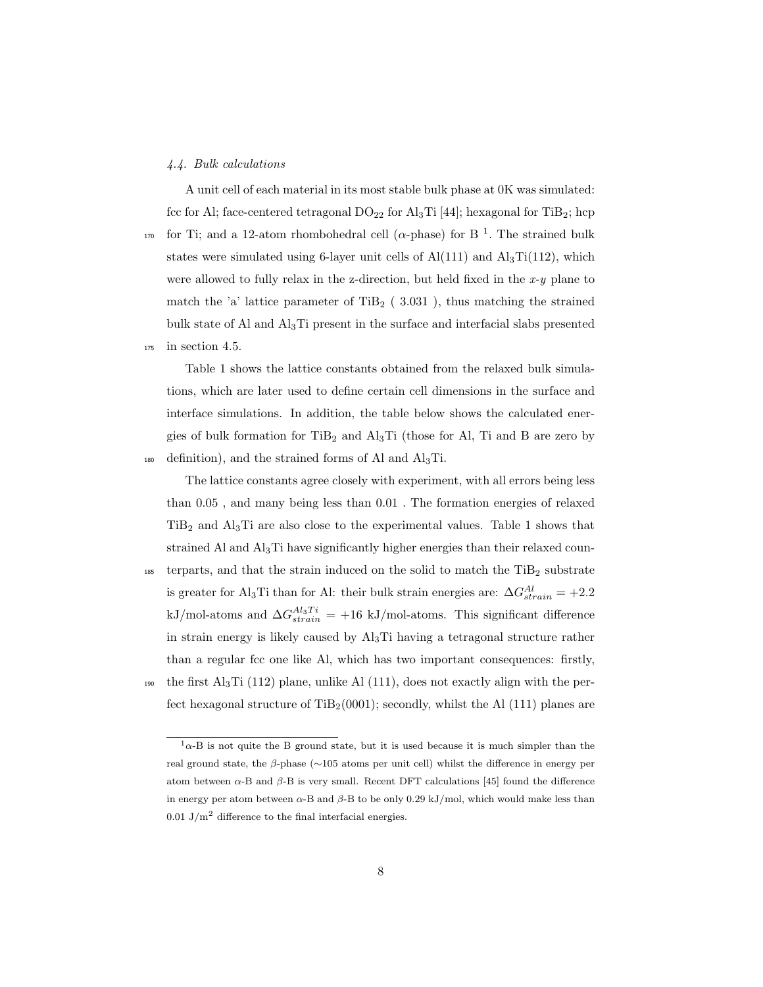#### 4.4. Bulk calculations

A unit cell of each material in its most stable bulk phase at 0K was simulated: fcc for Al; face-centered tetragonal  $DO_{22}$  for Al<sub>3</sub>Ti [44]; hexagonal for TiB<sub>2</sub>; hcp <sup>170</sup> for Ti; and a 12-atom rhombohedral cell ( $\alpha$ -phase) for B<sup>1</sup>. The strained bulk states were simulated using 6-layer unit cells of  $Al(111)$  and  $Al<sub>3</sub>Ti(112)$ , which were allowed to fully relax in the z-direction, but held fixed in the  $x-y$  plane to match the 'a' lattice parameter of TiB<sub>2</sub> (3.031), thus matching the strained bulk state of Al and Al3Ti present in the surface and interfacial slabs presented <sup>175</sup> in section 4.5.

Table 1 shows the lattice constants obtained from the relaxed bulk simulations, which are later used to define certain cell dimensions in the surface and interface simulations. In addition, the table below shows the calculated energies of bulk formation for  $TiB<sub>2</sub>$  and  $Al<sub>3</sub>Ti$  (those for Al, Ti and B are zero by 180 definition), and the strained forms of Al and  $\text{Al}_3\text{Ti}$ .

The lattice constants agree closely with experiment, with all errors being less than 0.05 , and many being less than 0.01 . The formation energies of relaxed  $TiB<sub>2</sub>$  and  $Al<sub>3</sub>Ti$  are also close to the experimental values. Table 1 shows that strained Al and Al3Ti have significantly higher energies than their relaxed coun-185 terparts, and that the strain induced on the solid to match the  $TiB<sub>2</sub>$  substrate is greater for Al<sub>3</sub>Ti than for Al: their bulk strain energies are:  $\Delta G_{strain}^{Al} = +2.2$ kJ/mol-atoms and  $\Delta G_{strain}^{Al_3Ti} = +16$  kJ/mol-atoms. This significant difference in strain energy is likely caused by  $\text{Al}_3\text{Ti}$  having a tetragonal structure rather than a regular fcc one like Al, which has two important consequences: firstly, 190 the first Al<sub>3</sub>Ti (112) plane, unlike Al (111), does not exactly align with the perfect hexagonal structure of  $\text{TiB}_2(0001)$ ; secondly, whilst the Al (111) planes are

 $1\alpha$ -B is not quite the B ground state, but it is used because it is much simpler than the real ground state, the β-phase (∼105 atoms per unit cell) whilst the difference in energy per atom between  $\alpha$ -B and  $\beta$ -B is very small. Recent DFT calculations [45] found the difference in energy per atom between  $\alpha$ -B and  $\beta$ -B to be only 0.29 kJ/mol, which would make less than 0.01 J/m<sup>2</sup> difference to the final interfacial energies.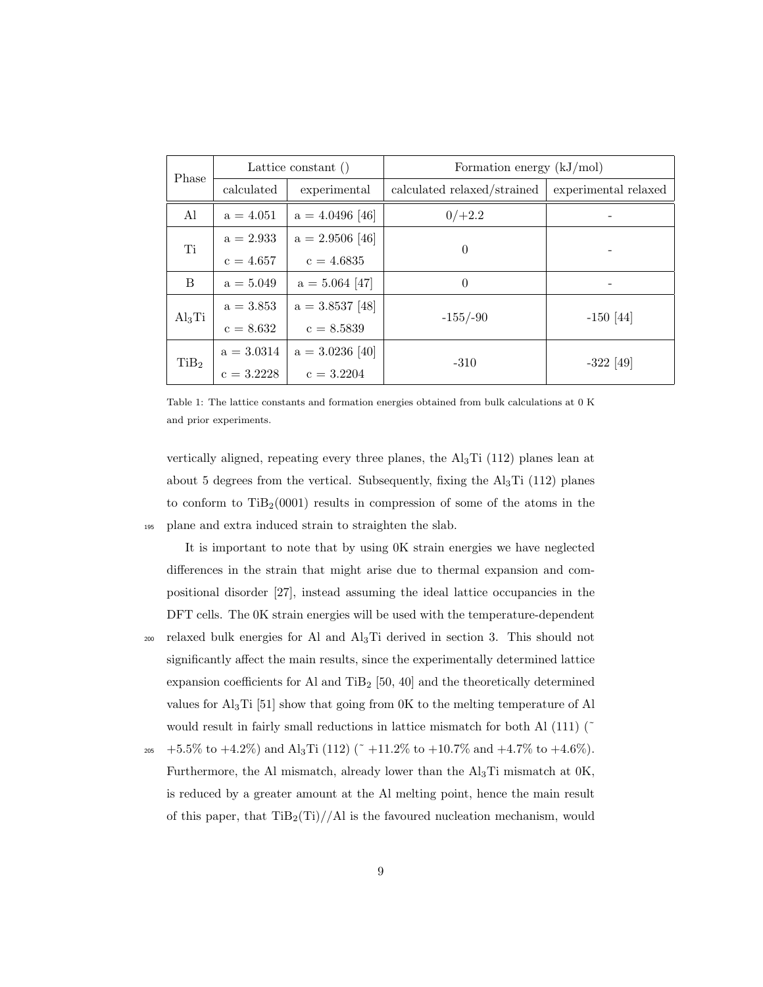| Phase            | Lattice constant () |                   | Formation energy $(kJ/mol)$ |                      |
|------------------|---------------------|-------------------|-----------------------------|----------------------|
|                  | calculated          | experimental      | calculated relaxed/strained | experimental relaxed |
| Al               | $a = 4.051$         | $a = 4.0496$ [46] | $0/+2.2$                    |                      |
| Ti               | $a = 2.933$         | $a = 2.9506$ [46] | $\theta$                    |                      |
|                  | $c = 4.657$         | $c = 4.6835$      |                             |                      |
| B                | $a = 5.049$         | $a = 5.064$ [47]  | $\theta$                    |                      |
| $\rm Al_3Ti$     | $a = 3.853$         | $a = 3.8537$ [48] | $-155/-90$                  | $-150$ [44]          |
|                  | $c = 8.632$         | $c = 8.5839$      |                             |                      |
| TiB <sub>2</sub> | $a = 3.0314$        | $a = 3.0236$ [40] | $-310$                      | $-322$ [49]          |
|                  | $c = 3.2228$        | $c = 3.2204$      |                             |                      |

Table 1: The lattice constants and formation energies obtained from bulk calculations at 0 K and prior experiments.

vertically aligned, repeating every three planes, the  $\text{Al}_3\text{Ti}$  (112) planes lean at about 5 degrees from the vertical. Subsequently, fixing the  $Al<sub>3</sub>Ti$  (112) planes to conform to  $TiB<sub>2</sub>(0001)$  results in compression of some of the atoms in the <sup>195</sup> plane and extra induced strain to straighten the slab.

It is important to note that by using 0K strain energies we have neglected differences in the strain that might arise due to thermal expansion and compositional disorder [27], instead assuming the ideal lattice occupancies in the DFT cells. The 0K strain energies will be used with the temperature-dependent  $_{200}$  relaxed bulk energies for Al and Al<sub>3</sub>Ti derived in section 3. This should not significantly affect the main results, since the experimentally determined lattice expansion coefficients for Al and TiB<sub>2</sub> [50, 40] and the theoretically determined values for  $Al_3Ti$  [51] show that going from 0K to the melting temperature of Al would result in fairly small reductions in lattice mismatch for both Al  $(111)$  ( $\tilde{ }$ 

 $_{205}$  +5.5% to +4.2%) and Al<sub>3</sub>Ti (112) (~ $+11.2\%$  to +10.7% and +4.7% to +4.6%). Furthermore, the Al mismatch, already lower than the Al3Ti mismatch at 0K, is reduced by a greater amount at the Al melting point, hence the main result of this paper, that  $\text{TiB}_2(\text{Ti})//\text{AI}$  is the favoured nucleation mechanism, would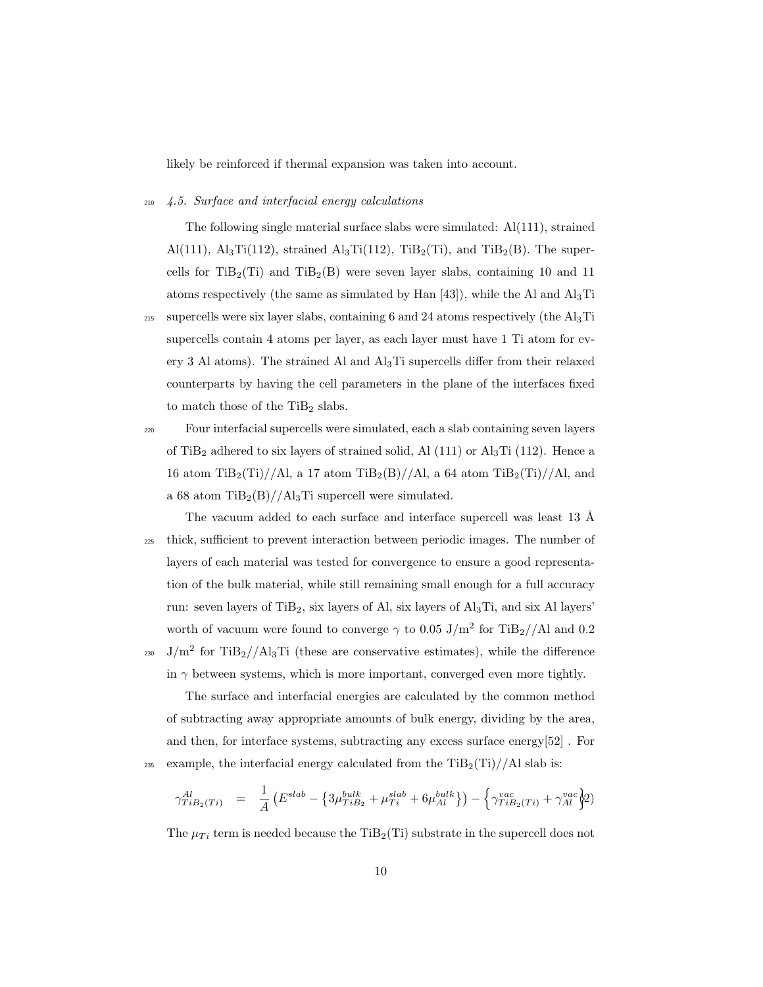likely be reinforced if thermal expansion was taken into account.

#### <sup>210</sup> 4.5. Surface and interfacial energy calculations

The following single material surface slabs were simulated: Al(111), strained Al(111),  $\text{Al}_3\text{Ti}(112)$ , strained  $\text{Al}_3\text{Ti}(112)$ ,  $\text{TiB}_2(\text{Ti})$ , and  $\text{TiB}_2(\text{B})$ . The supercells for  $TiB_2(Ti)$  and  $TiB_2(B)$  were seven layer slabs, containing 10 and 11 atoms respectively (the same as simulated by Han  $[43]$ ), while the Al and  $\text{Al}_3\text{Ti}$ <sup>215</sup> supercells were six layer slabs, containing 6 and 24 atoms respectively (the Al<sub>3</sub>Ti supercells contain 4 atoms per layer, as each layer must have 1 Ti atom for every 3 Al atoms). The strained Al and  $\text{Al}_3\text{Ti}$  supercells differ from their relaxed counterparts by having the cell parameters in the plane of the interfaces fixed to match those of the  $TiB<sub>2</sub>$  slabs.

<sup>220</sup> Four interfacial supercells were simulated, each a slab containing seven layers of TiB<sub>2</sub> adhered to six layers of strained solid, Al  $(111)$  or Al<sub>3</sub>Ti  $(112)$ . Hence a 16 atom TiB<sub>2</sub>(Ti)//Al, a 17 atom TiB<sub>2</sub>(B)//Al, a 64 atom TiB<sub>2</sub>(Ti)//Al, and a 68 atom  $TiB_2(B)//Al_3Ti$  supercell were simulated.

The vacuum added to each surface and interface supercell was least 13  $\AA$ <sup>225</sup> thick, sufficient to prevent interaction between periodic images. The number of layers of each material was tested for convergence to ensure a good representation of the bulk material, while still remaining small enough for a full accuracy run: seven layers of  $TiB<sub>2</sub>$ , six layers of Al, six layers of  $Al<sub>3</sub>Ti$ , and six Al layers' worth of vacuum were found to converge  $\gamma$  to 0.05 J/m<sup>2</sup> for TiB<sub>2</sub>//Al and 0.2 <sup>230</sup> J/m<sup>2</sup> for TiB<sub>2</sub>//Al<sub>3</sub>Ti (these are conservative estimates), while the difference in  $\gamma$  between systems, which is more important, converged even more tightly.

The surface and interfacial energies are calculated by the common method of subtracting away appropriate amounts of bulk energy, dividing by the area, and then, for interface systems, subtracting any excess surface energy[52] . For 235 example, the interfacial energy calculated from the  $\text{TiB}_2(\text{Ti})//\text{Al slab}$  is:

$$
\gamma_{TiB_2(Ti)}^{Al} = \frac{1}{A} \left( E^{slab} - \left\{ 3\mu_{TiB_2}^{bulk} + \mu_{Ti}^{slab} + 6\mu_{Al}^{bulk} \right\} \right) - \left\{ \gamma_{TiB_2(Ti)}^{vac} + \gamma_{Al}^{vac} \right\}^{2}
$$

The  $\mu_{Ti}$  term is needed because the TiB<sub>2</sub>(Ti) substrate in the supercell does not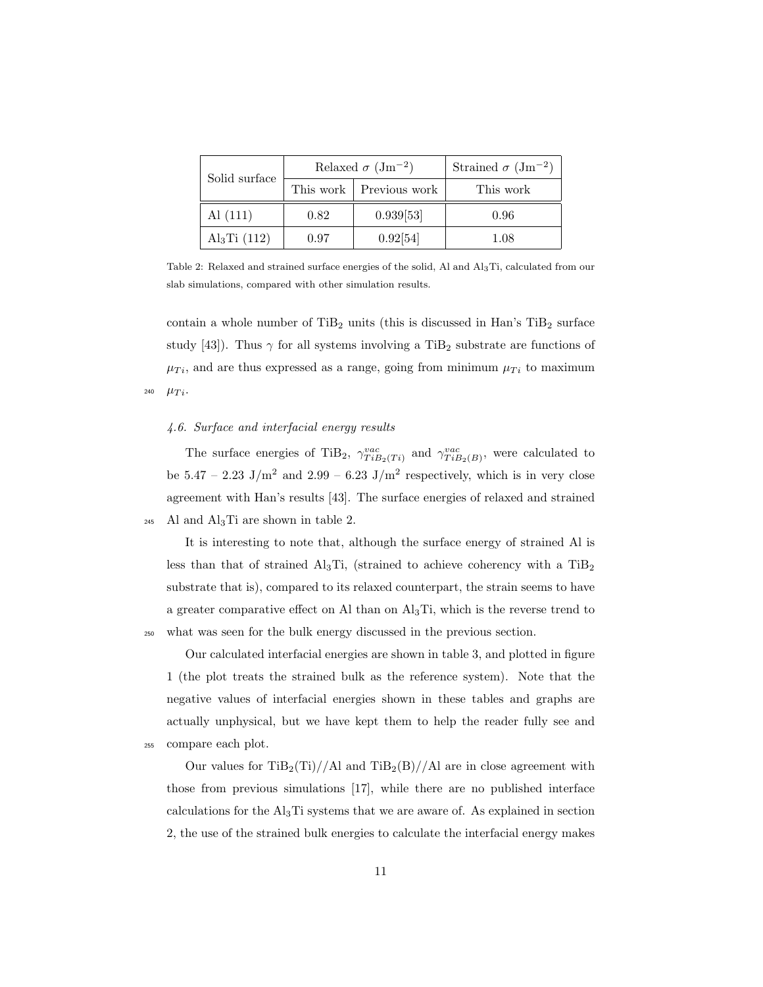| Solid surface            | Relaxed $\sigma$ (Jm <sup>-2</sup> ) |                           | Strained $\sigma$ (Jm <sup>-2</sup> ) |
|--------------------------|--------------------------------------|---------------------------|---------------------------------------|
|                          |                                      | This work   Previous work | This work                             |
| Al(111)                  | 0.82                                 | 0.939[53]                 | 0.96                                  |
| Al <sub>3</sub> Ti (112) | 0.97                                 | 0.92[54]                  | 1.08                                  |

Table 2: Relaxed and strained surface energies of the solid, Al and Al3Ti, calculated from our slab simulations, compared with other simulation results.

contain a whole number of  $TiB<sub>2</sub>$  units (this is discussed in Han's  $TiB<sub>2</sub>$  surface study [43]). Thus  $\gamma$  for all systems involving a TiB<sub>2</sub> substrate are functions of  $\mu_{Ti}$ , and are thus expressed as a range, going from minimum  $\mu_{Ti}$  to maximum 240  $\mu_{Ti}$ .

## 4.6. Surface and interfacial energy results

The surface energies of TiB<sub>2</sub>,  $\gamma_{TiB_2(Ti)}^{vac}$  and  $\gamma_{TiB_2(B)}^{vac}$ , were calculated to be  $5.47 - 2.23$  J/m<sup>2</sup> and  $2.99 - 6.23$  J/m<sup>2</sup> respectively, which is in very close agreement with Han's results [43]. The surface energies of relaxed and strained  $_{245}$  Al and Al<sub>3</sub>Ti are shown in table 2.

It is interesting to note that, although the surface energy of strained Al is less than that of strained Al<sub>3</sub>Ti, (strained to achieve coherency with a  $TiB<sub>2</sub>$ substrate that is), compared to its relaxed counterpart, the strain seems to have a greater comparative effect on Al than on Al3Ti, which is the reverse trend to <sup>250</sup> what was seen for the bulk energy discussed in the previous section.

Our calculated interfacial energies are shown in table 3, and plotted in figure 1 (the plot treats the strained bulk as the reference system). Note that the negative values of interfacial energies shown in these tables and graphs are actually unphysical, but we have kept them to help the reader fully see and <sup>255</sup> compare each plot.

Our values for  $\text{TiB}_2(\text{Ti})//\text{Al}$  and  $\text{TiB}_2(\text{B})//\text{Al}$  are in close agreement with those from previous simulations [17], while there are no published interface calculations for the  $\text{Al}_3\text{Ti}$  systems that we are aware of. As explained in section 2, the use of the strained bulk energies to calculate the interfacial energy makes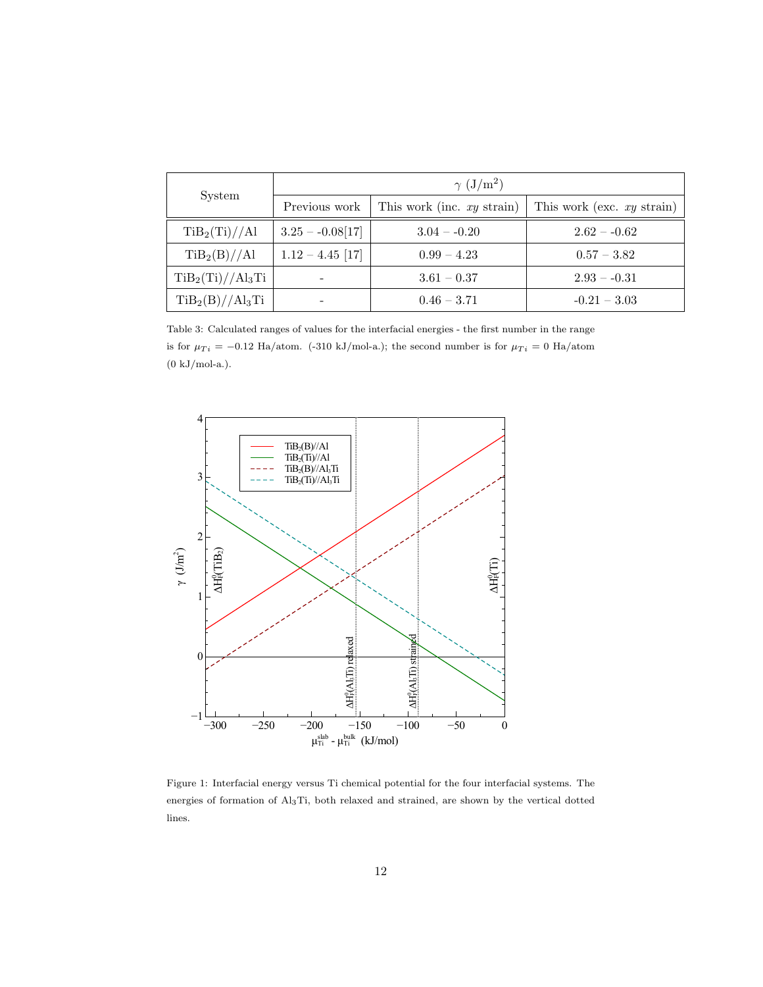|                           | $\gamma$ (J/m <sup>2</sup> ) |                              |                              |  |
|---------------------------|------------------------------|------------------------------|------------------------------|--|
| System                    | Previous work                | This work (inc. $xy$ strain) | This work (exc. $xy$ strain) |  |
| TiB <sub>2</sub> (Ti)//Al | $3.25 - 0.08[17]$            | $3.04 - 0.20$                | $2.62 - 0.62$                |  |
| TiB <sub>2</sub> (B)//Al  | $1.12 - 4.45$ [17]           | $0.99 - 4.23$                | $0.57 - 3.82$                |  |
| $TiB_2(Ti)//Al_3Ti$       |                              | $3.61 - 0.37$                | $2.93 - 0.31$                |  |
| $TiB_2(B)//Al_3Ti$        |                              | $0.46 - 3.71$                | $-0.21 - 3.03$               |  |

Table 3: Calculated ranges of values for the interfacial energies - the first number in the range is for  $\mu_{Ti} = -0.12$  Ha/atom. (-310 kJ/mol-a.); the second number is for  $\mu_{Ti} = 0$  Ha/atom  $(0 \text{ kJ/mol-a.}).$ 



Figure 1: Interfacial energy versus Ti chemical potential for the four interfacial systems. The energies of formation of Al3Ti, both relaxed and strained, are shown by the vertical dotted lines.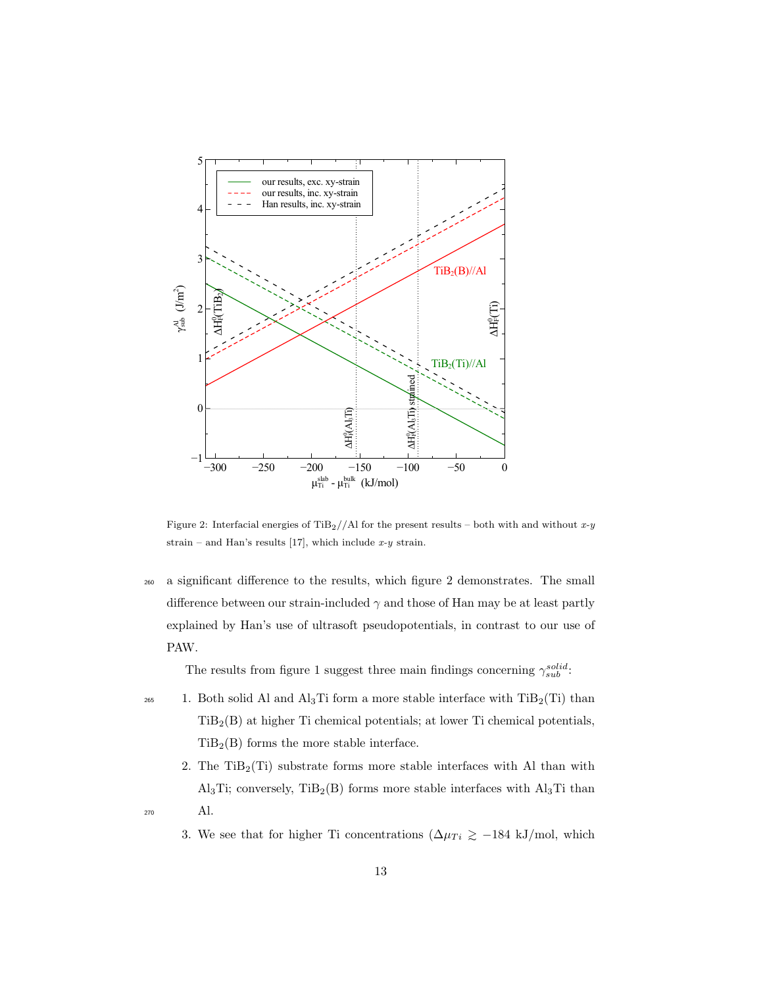

Figure 2: Interfacial energies of TiB<sub>2</sub>//Al for the present results – both with and without x-y strain – and Han's results [17], which include  $x-y$  strain.

<sup>260</sup> a significant difference to the results, which figure 2 demonstrates. The small difference between our strain-included  $\gamma$  and those of Han may be at least partly explained by Han's use of ultrasoft pseudopotentials, in contrast to our use of PAW.

The results from figure 1 suggest three main findings concerning  $\gamma_{sub}^{solid}$ :

- <sup>265</sup> 1. Both solid Al and  $\text{Al}_3$ Ti form a more stable interface with  $\text{TiB}_2(\text{Ti})$  than  $TiB<sub>2</sub>(B)$  at higher Ti chemical potentials; at lower Ti chemical potentials,  $TiB<sub>2</sub>(B)$  forms the more stable interface.
- 2. The  $\text{TiB}_2(\text{Ti})$  substrate forms more stable interfaces with Al than with  $\text{Al}_3\text{Ti}$ ; conversely,  $\text{TiB}_2(\text{B})$  forms more stable interfaces with  $\text{Al}_3\text{Ti}$  than <sup>270</sup> Al.
	- 3. We see that for higher Ti concentrations  $(\Delta \mu_{Ti} \ge -184 \text{ kJ/mol}, \text{which})$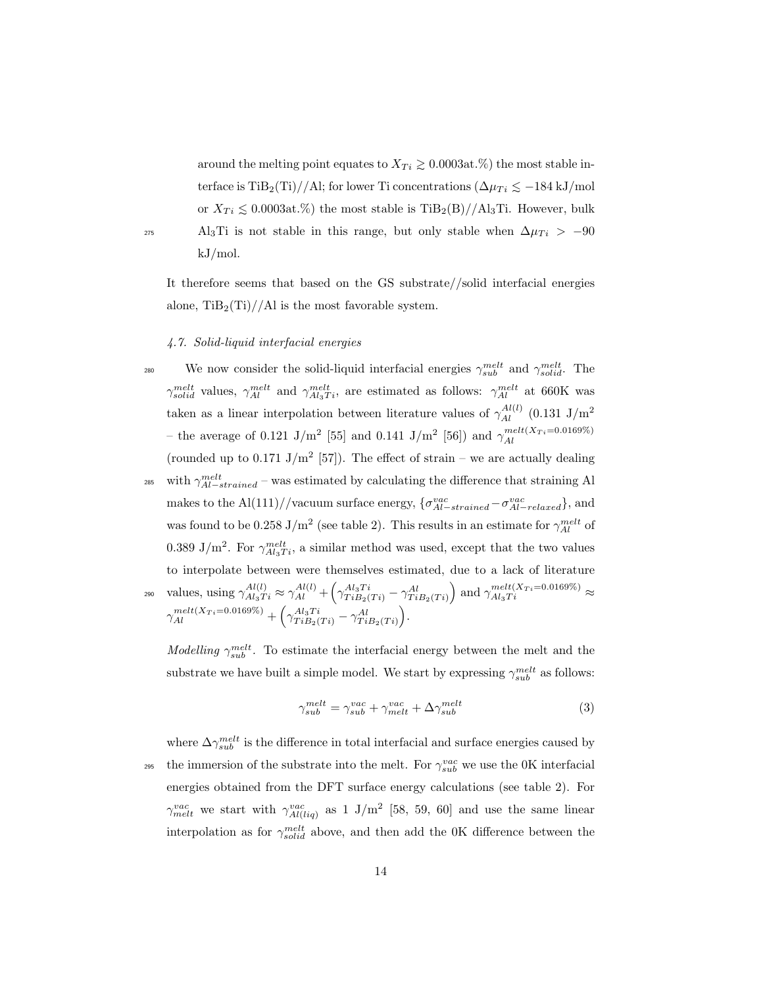around the melting point equates to  $X_{Ti} \geq 0.0003$ at.%) the most stable interface is TiB<sub>2</sub>(Ti)//Al; for lower Ti concentrations  $(\Delta \mu_{Ti} \leq -184 \text{ kJ/mol})$ or  $X_{Ti} \leq 0.0003$ at.%) the most stable is TiB<sub>2</sub>(B)//Al<sub>3</sub>Ti. However, bulk 275 Al<sub>3</sub>Ti is not stable in this range, but only stable when  $\Delta \mu_{Ti} > -90$ kJ/mol.

It therefore seems that based on the GS substrate//solid interfacial energies alone,  $\text{TiB}_2(\text{Ti})//\text{AI}$  is the most favorable system.

## 4.7. Solid-liquid interfacial energies

<sup>280</sup> We now consider the solid-liquid interfacial energies  $\gamma_{sub}^{melt}$  and  $\gamma_{solid}^{melt}$ . The  $\gamma_{solid}^{melt}$  values,  $\gamma_{Al}^{melt}$  and  $\gamma_{Al_3Ti}^{melt}$ , are estimated as follows:  $\gamma_{Al}^{melt}$  at 660K was taken as a linear interpolation between literature values of  $\gamma_{Al}^{Al(l)}$  (0.131 J/m<sup>2</sup> – the average of 0.121 J/m<sup>2</sup> [55] and 0.141 J/m<sup>2</sup> [56]) and  $\gamma_{Al}^{melt(X_{Ti}=0.0169\%)}$ (rounded up to 0.171 J/m<sup>2</sup> [57]). The effect of strain – we are actually dealing <sup>285</sup> with  $\gamma_{Al-strained}^{melt}$  – was estimated by calculating the difference that straining Al makes to the Al(111)//vacuum surface energy,  $\{\sigma_{Al-strained}^{vac} - \sigma_{Al-relaxed}^{vac}\}$ , and was found to be 0.258 J/m<sup>2</sup> (see table 2). This results in an estimate for  $\gamma_{Al}^{melt}$  of 0.389 J/m<sup>2</sup>. For  $\gamma_{Al_3Ti}^{melt}$ , a similar method was used, except that the two values to interpolate between were themselves estimated, due to a lack of literature  $\gamma_{Al_3Ti}^{Al(l)} \approx \gamma_{Al}^{Al(l)} + \left(\gamma_{TiB_2(Ti)}^{Al_3Ti} - \gamma_{TiB_2(Ti)}^{Al}\right)$  and  $\gamma_{Al_3Ti}^{melt(X_{Ti} = 0.0169\%)} \approx$  $\gamma_{Al}^{melt(X_{Ti}=0.0169\%)}+\left(\gamma_{TiB_{2}(Ti)}^{Al_{3}Ti}-\gamma_{TiB_{2}(Ti)}^{Al}\right).$ 

*Modelling*  $\gamma_{sub}^{melt}$ . To estimate the interfacial energy between the melt and the substrate we have built a simple model. We start by expressing  $\gamma_{sub}^{melt}$  as follows:

$$
\gamma_{sub}^{melt} = \gamma_{sub}^{vac} + \gamma_{melt}^{vac} + \Delta \gamma_{sub}^{melt} \tag{3}
$$

where  $\Delta\gamma_{sub}^{melt}$  is the difference in total interfacial and surface energies caused by <sup>295</sup> the immersion of the substrate into the melt. For  $\gamma_{sub}^{vac}$  we use the 0K interfacial energies obtained from the DFT surface energy calculations (see table 2). For  $\gamma_{melt}^{vac}$  we start with  $\gamma_{Al(liq)}^{vac}$  as 1 J/m<sup>2</sup> [58, 59, 60] and use the same linear interpolation as for  $\gamma_{solid}^{melt}$  above, and then add the 0K difference between the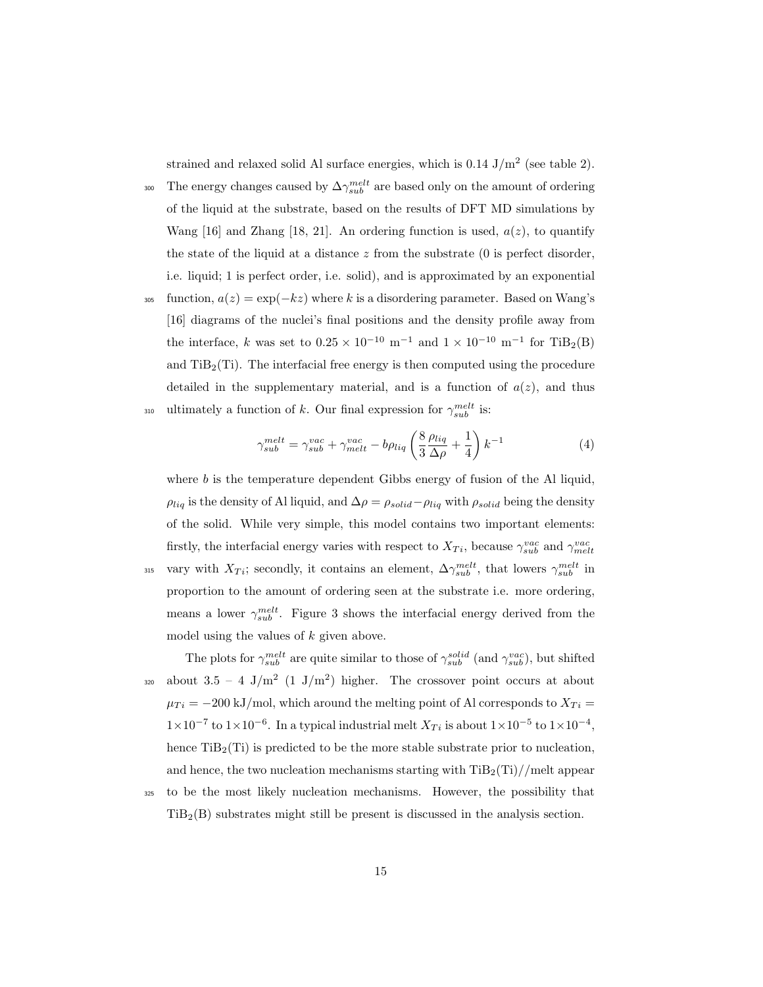strained and relaxed solid Al surface energies, which is  $0.14 \text{ J/m}^2$  (see table 2).

- <sup>300</sup> The energy changes caused by  $\Delta\gamma_{sub}^{melt}$  are based only on the amount of ordering of the liquid at the substrate, based on the results of DFT MD simulations by Wang [16] and Zhang [18, 21]. An ordering function is used,  $a(z)$ , to quantify the state of the liquid at a distance  $z$  from the substrate  $(0)$  is perfect disorder, i.e. liquid; 1 is perfect order, i.e. solid), and is approximated by an exponential
- <sup>305</sup> function,  $a(z) = \exp(-kz)$  where k is a disordering parameter. Based on Wang's [16] diagrams of the nuclei's final positions and the density profile away from the interface, k was set to  $0.25 \times 10^{-10}$  m<sup>-1</sup> and  $1 \times 10^{-10}$  m<sup>-1</sup> for TiB<sub>2</sub>(B) and  $\text{TiB}_2(\text{Ti})$ . The interfacial free energy is then computed using the procedure detailed in the supplementary material, and is a function of  $a(z)$ , and thus

<sup>310</sup> ultimately a function of 
$$
k
$$
. Our final expression for  $\gamma_{sub}^{melt}$  is:

$$
\gamma_{sub}^{melt} = \gamma_{sub}^{vac} + \gamma_{melt}^{vac} - b\rho_{liq} \left(\frac{8}{3}\frac{\rho_{liq}}{\Delta \rho} + \frac{1}{4}\right)k^{-1}
$$
(4)

where  $b$  is the temperature dependent Gibbs energy of fusion of the Al liquid,  $\rho_{liq}$  is the density of Al liquid, and  $\Delta \rho = \rho_{solid} - \rho_{liq}$  with  $\rho_{solid}$  being the density of the solid. While very simple, this model contains two important elements: firstly, the interfacial energy varies with respect to  $X_{Ti}$ , because  $\gamma_{sub}^{vac}$  and  $\gamma_{melt}^{vac}$ 315 vary with  $X_{Ti}$ ; secondly, it contains an element,  $\Delta\gamma_{sub}^{melt}$ , that lowers  $\gamma_{sub}^{melt}$  in proportion to the amount of ordering seen at the substrate i.e. more ordering, means a lower  $\gamma_{sub}^{melt}$ . Figure 3 shows the interfacial energy derived from the model using the values of  $k$  given above.

The plots for  $\gamma_{sub}^{melt}$  are quite similar to those of  $\gamma_{sub}^{solid}$  (and  $\gamma_{sub}^{vac}$ ), but shifted  $_{320}$  about  $3.5 - 4$  J/m<sup>2</sup> (1 J/m<sup>2</sup>) higher. The crossover point occurs at about  $\mu_{Ti} = -200 \text{ kJ/mol}$ , which around the melting point of Al corresponds to  $X_{Ti} =$  $1 \times 10^{-7}$  to  $1 \times 10^{-6}$ . In a typical industrial melt  $X_{Ti}$  is about  $1 \times 10^{-5}$  to  $1 \times 10^{-4}$ , hence  $\text{TiB}_2(\text{Ti})$  is predicted to be the more stable substrate prior to nucleation, and hence, the two nucleation mechanisms starting with  $\text{TiB}_2(\text{Ti})/|\text{melt appear}$ 

<sup>325</sup> to be the most likely nucleation mechanisms. However, the possibility that  $TiB<sub>2</sub>(B)$  substrates might still be present is discussed in the analysis section.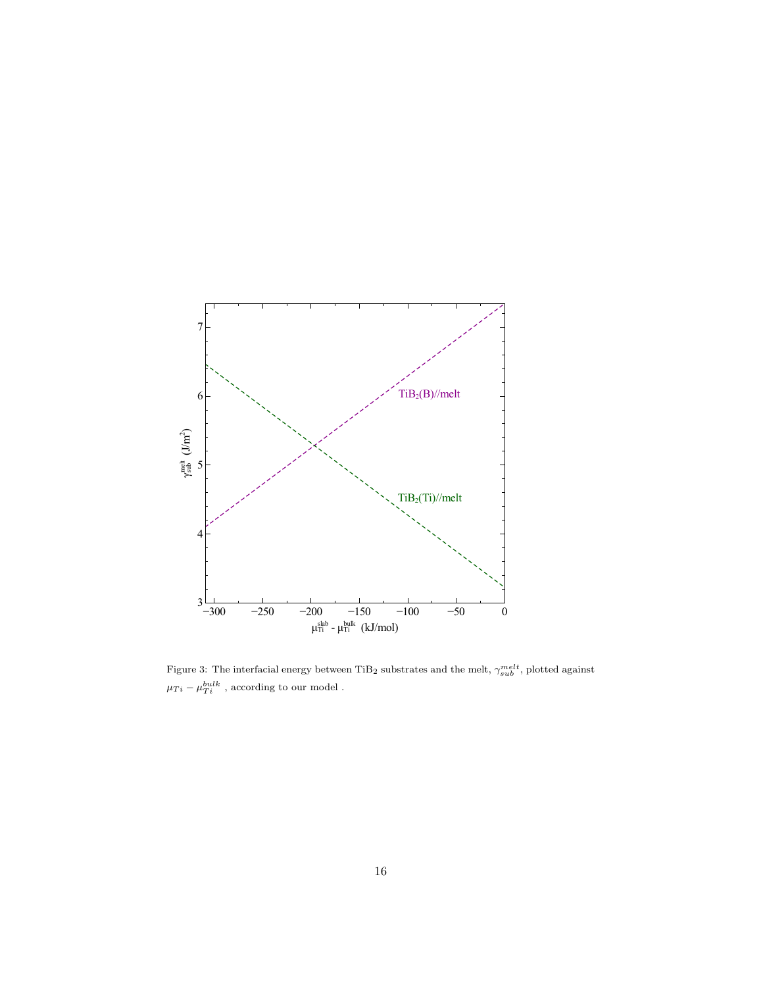

Figure 3: The interfacial energy between TiB<sub>2</sub> substrates and the melt,  $\gamma_{sub}^{melt}$ , plotted against  $\mu_{Ti} - \mu_{Ti}^{bulk}$ , according to our model.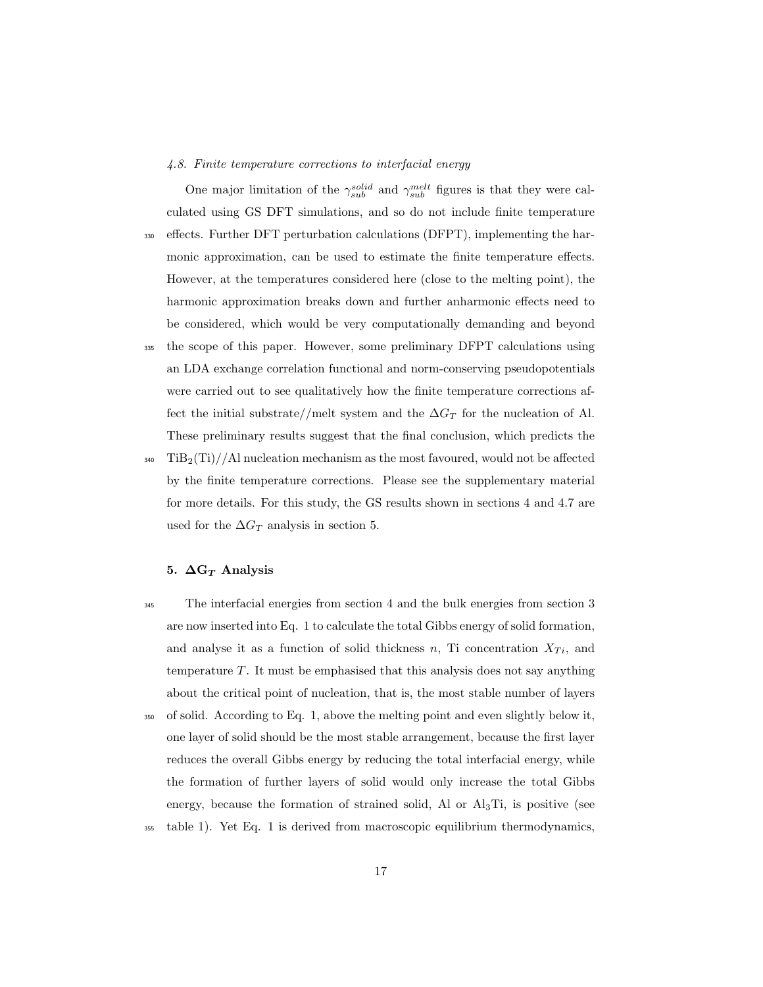### 4.8. Finite temperature corrections to interfacial energy

One major limitation of the  $\gamma_{sub}^{solid}$  and  $\gamma_{sub}^{melt}$  figures is that they were calculated using GS DFT simulations, and so do not include finite temperature <sup>330</sup> effects. Further DFT perturbation calculations (DFPT), implementing the harmonic approximation, can be used to estimate the finite temperature effects. However, at the temperatures considered here (close to the melting point), the harmonic approximation breaks down and further anharmonic effects need to be considered, which would be very computationally demanding and beyond <sup>335</sup> the scope of this paper. However, some preliminary DFPT calculations using an LDA exchange correlation functional and norm-conserving pseudopotentials were carried out to see qualitatively how the finite temperature corrections affect the initial substrate//melt system and the  $\Delta G_T$  for the nucleation of Al. These preliminary results suggest that the final conclusion, which predicts the  $340$  TiB<sub>2</sub>(Ti)//Al nucleation mechanism as the most favoured, would not be affected by the finite temperature corrections. Please see the supplementary material for more details. For this study, the GS results shown in sections 4 and 4.7 are

## 5.  $\Delta G_T$  Analysis

used for the  $\Delta G_T$  analysis in section 5.

- <sup>345</sup> The interfacial energies from section 4 and the bulk energies from section 3 are now inserted into Eq. 1 to calculate the total Gibbs energy of solid formation, and analyse it as a function of solid thickness  $n$ , Ti concentration  $X_{Ti}$ , and temperature T. It must be emphasised that this analysis does not say anything about the critical point of nucleation, that is, the most stable number of layers <sup>350</sup> of solid. According to Eq. 1, above the melting point and even slightly below it, one layer of solid should be the most stable arrangement, because the first layer reduces the overall Gibbs energy by reducing the total interfacial energy, while the formation of further layers of solid would only increase the total Gibbs energy, because the formation of strained solid, Al or  $\text{Al}_3\text{Ti}$ , is positive (see
- <sup>355</sup> table 1). Yet Eq. 1 is derived from macroscopic equilibrium thermodynamics,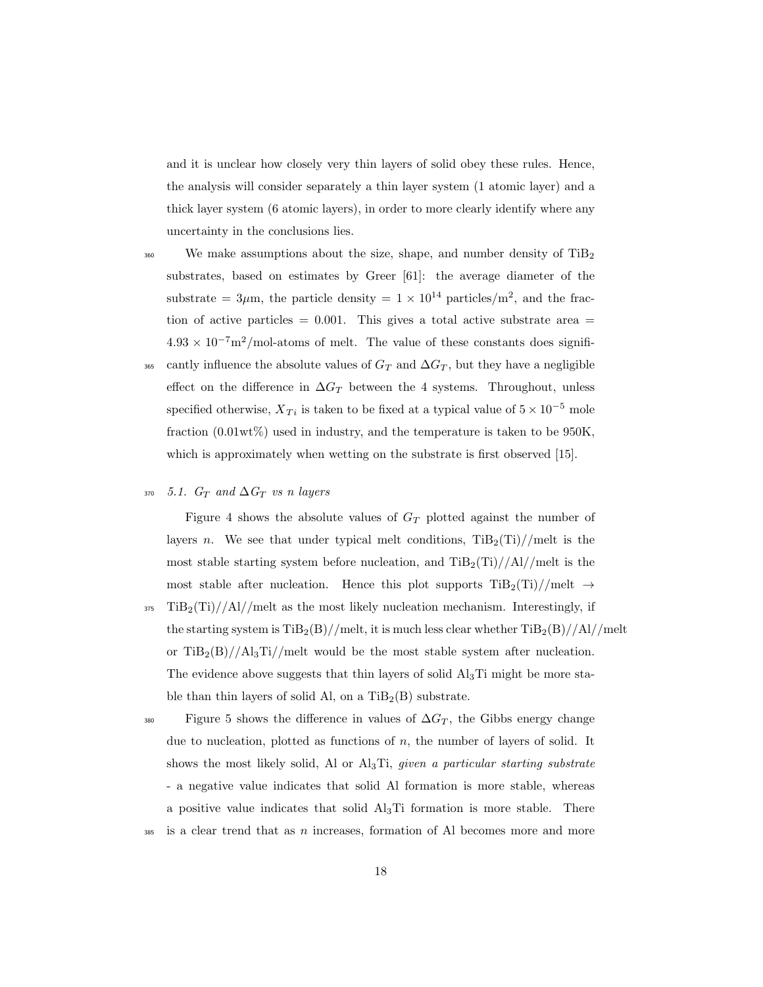and it is unclear how closely very thin layers of solid obey these rules. Hence, the analysis will consider separately a thin layer system (1 atomic layer) and a thick layer system (6 atomic layers), in order to more clearly identify where any uncertainty in the conclusions lies.

- $360$  We make assumptions about the size, shape, and number density of TiB<sub>2</sub> substrates, based on estimates by Greer [61]: the average diameter of the substrate =  $3\mu$ m, the particle density =  $1 \times 10^{14}$  particles/m<sup>2</sup>, and the fraction of active particles  $= 0.001$ . This gives a total active substrate area  $=$  $4.93 \times 10^{-7}$ m<sup>2</sup>/mol-atoms of melt. The value of these constants does signifi-365 cantly influence the absolute values of  $G_T$  and  $\Delta G_T$ , but they have a negligible effect on the difference in  $\Delta G_T$  between the 4 systems. Throughout, unless specified otherwise,  $X_{Ti}$  is taken to be fixed at a typical value of  $5 \times 10^{-5}$  mole fraction (0.01wt%) used in industry, and the temperature is taken to be 950K, which is approximately when wetting on the substrate is first observed [15].
- 370 5.1.  $G_T$  and  $\Delta G_T$  vs n layers

Figure 4 shows the absolute values of  $G_T$  plotted against the number of layers n. We see that under typical melt conditions,  $\text{TiB}_2(\text{Ti})//\text{melt}$  is the most stable starting system before nucleation, and  $\text{TiB}_2(\text{Ti})//\text{Al}/\text{melt}$  is the most stable after nucleation. Hence this plot supports  $\text{TiB}_2(\text{Ti}) / / \text{melt} \rightarrow$ 

- $375$  TiB<sub>2</sub>(Ti)//Al//melt as the most likely nucleation mechanism. Interestingly, if the starting system is  $\text{TiB}_2(B)/\text{/melt}$ , it is much less clear whether  $\text{TiB}_2(B)/\text{/Al}/\text{/melt}$ or  $TiB_2(B)//Al_3Ti/$  melt would be the most stable system after nucleation. The evidence above suggests that thin layers of solid  $\text{Al}_3\text{Ti}$  might be more stable than thin layers of solid Al, on a  $\text{TiB}_2(B)$  substrate.
- $F_{380}$  Figure 5 shows the difference in values of  $\Delta G_T$ , the Gibbs energy change due to nucleation, plotted as functions of  $n$ , the number of layers of solid. It shows the most likely solid, Al or  $\text{Al}_3\text{Ti}$ , given a particular starting substrate - a negative value indicates that solid Al formation is more stable, whereas a positive value indicates that solid  $\text{Al}_3\text{Ti}$  formation is more stable. There  $385$  is a clear trend that as n increases, formation of Al becomes more and more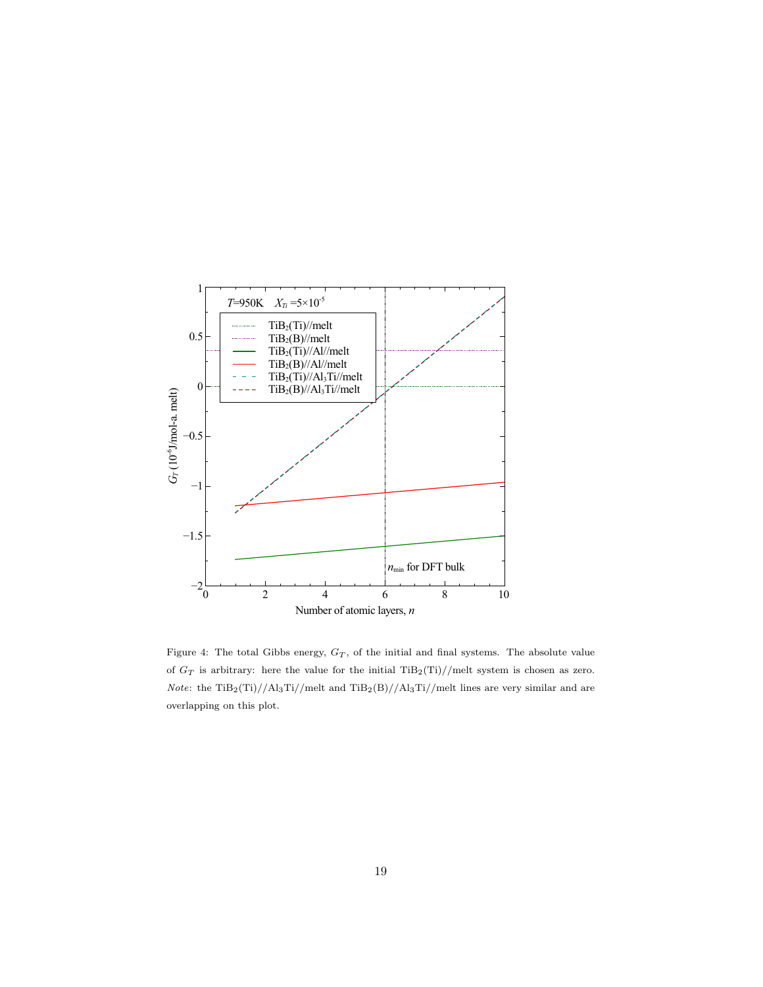

Figure 4: The total Gibbs energy,  $G_T$ , of the initial and final systems. The absolute value of  $G_T$  is arbitrary: here the value for the initial TiB<sub>2</sub>(Ti)//melt system is chosen as zero. Note: the TiB<sub>2</sub>(Ti)//Al<sub>3</sub>Ti//melt and TiB<sub>2</sub>(B)//Al<sub>3</sub>Ti//melt lines are very similar and are overlapping on this plot.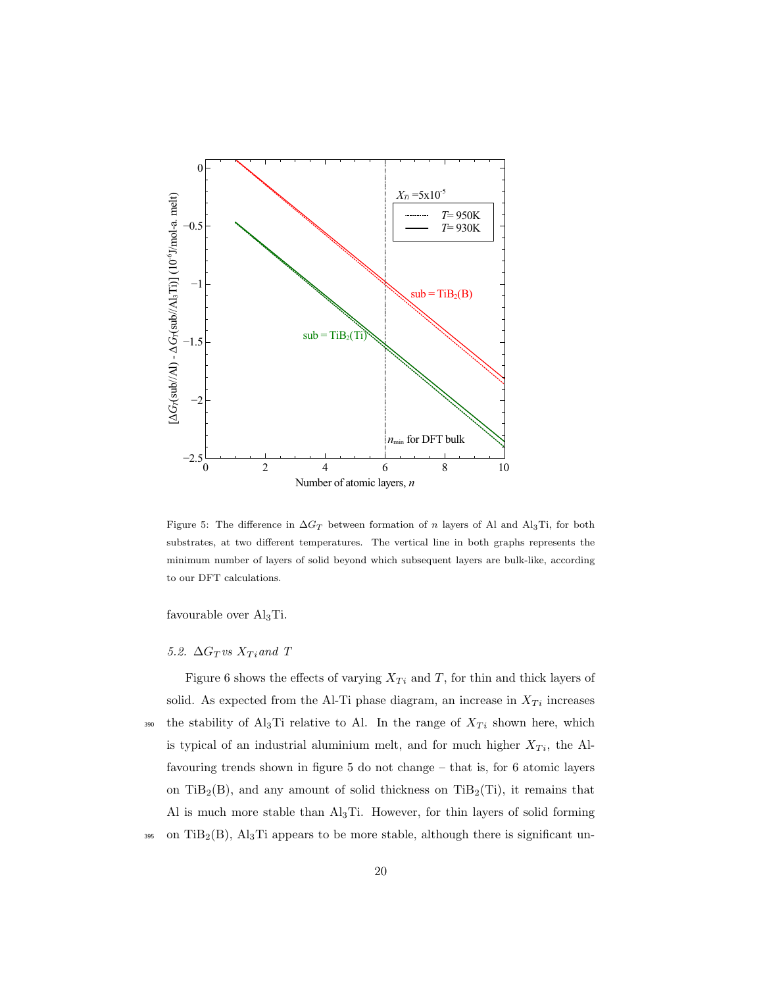

Figure 5: The difference in  $\Delta G_T$  between formation of n layers of Al and Al3Ti, for both substrates, at two different temperatures. The vertical line in both graphs represents the minimum number of layers of solid beyond which subsequent layers are bulk-like, according to our DFT calculations.

favourable over Al3Ti.

# 5.2.  $\Delta G_T$  vs  $X_T$  and  $T$

Figure 6 shows the effects of varying  $X_{Ti}$  and T, for thin and thick layers of solid. As expected from the Al-Ti phase diagram, an increase in  $X_{Ti}$  increases <sup>390</sup> the stability of Al<sub>3</sub>Ti relative to Al. In the range of  $X_{Ti}$  shown here, which is typical of an industrial aluminium melt, and for much higher  $X_{Ti}$ , the Alfavouring trends shown in figure 5 do not change – that is, for 6 atomic layers on TiB<sub>2</sub>(B), and any amount of solid thickness on TiB<sub>2</sub>(Ti), it remains that Al is much more stable than  $\text{Al}_3\text{Ti}$ . However, for thin layers of solid forming 395 on TiB<sub>2</sub>(B), Al<sub>3</sub>Ti appears to be more stable, although there is significant un-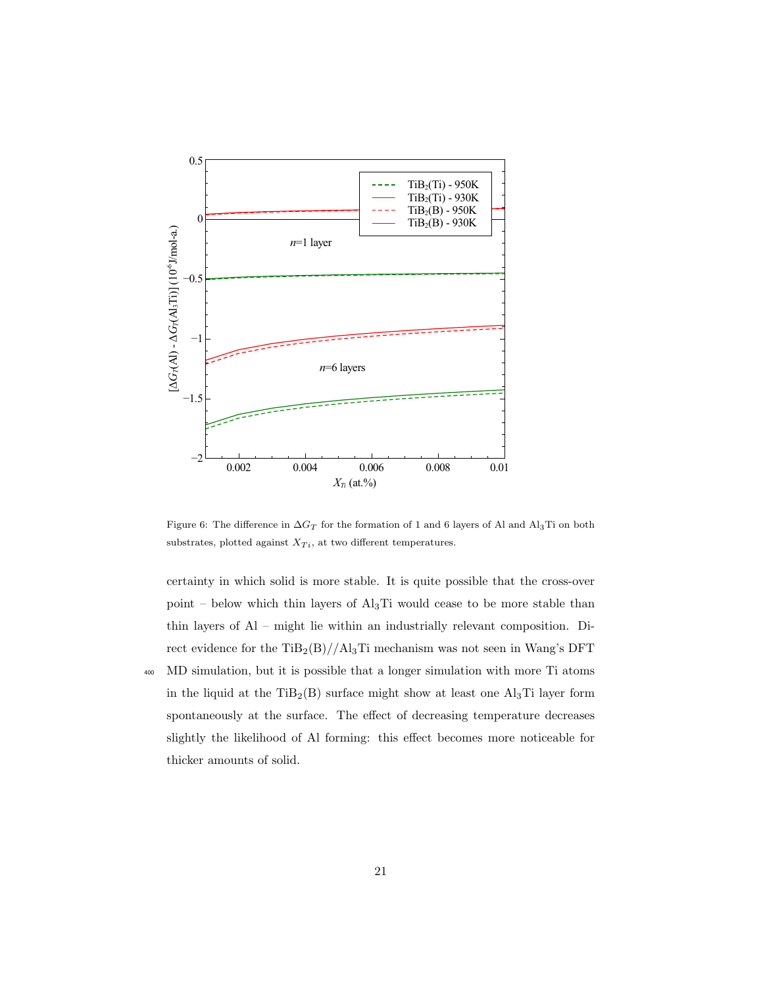

Figure 6: The difference in  $\Delta G_T$  for the formation of 1 and 6 layers of Al and Al<sub>3</sub>Ti on both substrates, plotted against  $X_{Ti}$ , at two different temperatures.

certainty in which solid is more stable. It is quite possible that the cross-over point – below which thin layers of  $Al<sub>3</sub>Ti$  would cease to be more stable than thin layers of Al – might lie within an industrially relevant composition. Direct evidence for the  $\text{TiB}_2(\text{B})//\text{Al}_3\text{Ti}$  mechanism was not seen in Wang's DFT

<sup>400</sup> MD simulation, but it is possible that a longer simulation with more Ti atoms in the liquid at the  $TiB_2(B)$  surface might show at least one  $Al_3Ti$  layer form spontaneously at the surface. The effect of decreasing temperature decreases slightly the likelihood of Al forming: this effect becomes more noticeable for thicker amounts of solid.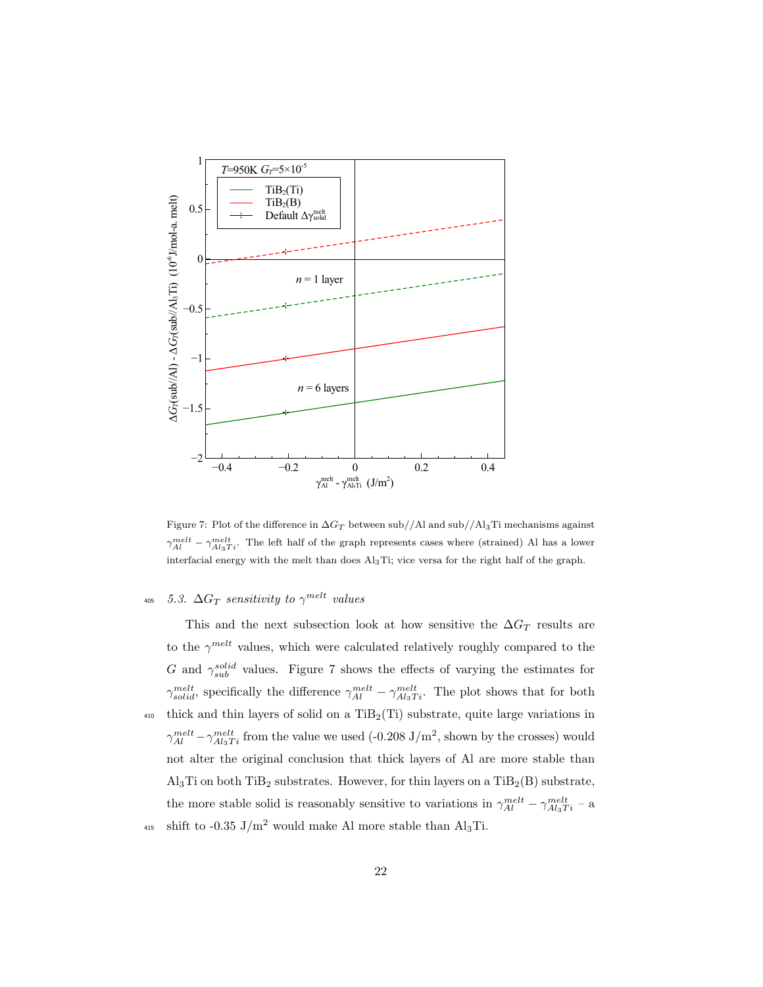

Figure 7: Plot of the difference in  $\Delta G_T$  between sub//Al and sub//Al3Ti mechanisms against  $\gamma_{Al}^{melt} - \gamma_{Al_3Ti}^{melt}$ . The left half of the graph represents cases where (strained) Al has a lower interfacial energy with the melt than does Al3Ti; vice versa for the right half of the graph.

# $_{405}$  5.3.  $\Delta G_T$  sensitivity to  $\gamma^{melt}$  values

This and the next subsection look at how sensitive the  $\Delta G_T$  results are to the  $\gamma^{melt}$  values, which were calculated relatively roughly compared to the G and  $\gamma_{sub}^{solid}$  values. Figure 7 shows the effects of varying the estimates for  $\gamma_{solid}^{melt}$ , specifically the difference  $\gamma_{Al}^{melt} - \gamma_{Al_3Ti}^{melt}$ . The plot shows that for both  $_{410}$  thick and thin layers of solid on a TiB<sub>2</sub>(Ti) substrate, quite large variations in  $\gamma_{Al}^{melt} - \gamma_{Al_3Ti}^{melt}$  from the value we used (-0.208 J/m<sup>2</sup>, shown by the crosses) would not alter the original conclusion that thick layers of Al are more stable than  $\text{Al}_3\text{Ti}$  on both TiB<sub>2</sub> substrates. However, for thin layers on a TiB<sub>2</sub>(B) substrate, the more stable solid is reasonably sensitive to variations in  $\gamma_{Al}^{melt} - \gamma_{Al_3Ti}^{melt}$  – a <sup>415</sup> shift to -0.35 J/m<sup>2</sup> would make Al more stable than  $Al_3Ti$ .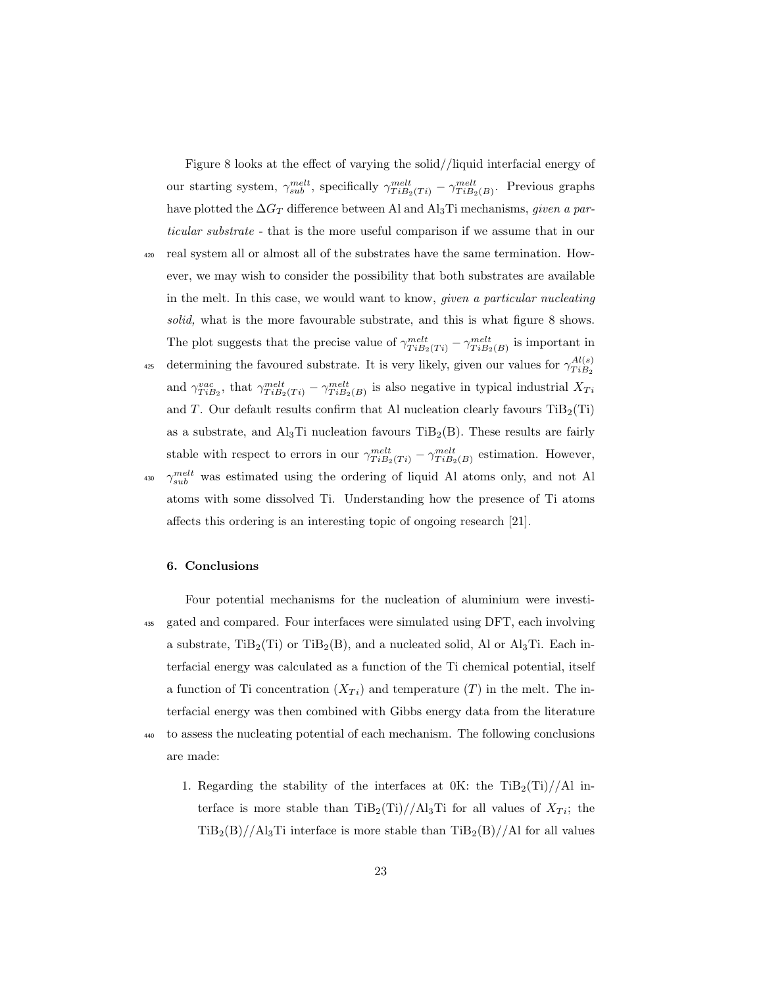Figure 8 looks at the effect of varying the solid//liquid interfacial energy of our starting system,  $\gamma_{sub}^{melt}$ , specifically  $\gamma_{TiB_2(Ti)}^{melt} - \gamma_{TiB_2(B)}^{melt}$ . Previous graphs have plotted the  $\Delta G_T$  difference between Al and Al<sub>3</sub>Ti mechanisms, *given a par*ticular substrate - that is the more useful comparison if we assume that in our <sup>420</sup> real system all or almost all of the substrates have the same termination. However, we may wish to consider the possibility that both substrates are available in the melt. In this case, we would want to know, given a particular nucleating solid, what is the more favourable substrate, and this is what figure 8 shows. The plot suggests that the precise value of  $\gamma_{TiB_2(Ti)}^{melt} - \gamma_{TiB_2(B)}^{melt}$  is important in determining the favoured substrate. It is very likely, given our values for  $\gamma_{T_i R_i}^{Al(s)}$  $TiB_2$ 425 and  $\gamma_{TiB_2}^{vac}$ , that  $\gamma_{TiB_2(Ti)}^{melt} - \gamma_{TiB_2(B)}^{melt}$  is also negative in typical industrial  $X_{Ti}$ and T. Our default results confirm that Al nucleation clearly favours  $\text{TiB}_2(\text{Ti})$ as a substrate, and  $\text{Al}_3\text{Ti}$  nucleation favours  $\text{TiB}_2(\text{B})$ . These results are fairly stable with respect to errors in our  $\gamma_{TiB_2(Ti)}^{melt} - \gamma_{TiB_2(B)}^{melt}$  estimation. However, <sup>430</sup>  $\gamma_{sub}^{melt}$  was estimated using the ordering of liquid Al atoms only, and not Al atoms with some dissolved Ti. Understanding how the presence of Ti atoms affects this ordering is an interesting topic of ongoing research [21].

#### 6. Conclusions

are made:

- Four potential mechanisms for the nucleation of aluminium were investi-<sup>435</sup> gated and compared. Four interfaces were simulated using DFT, each involving a substrate,  $\text{TiB}_2(\text{Ti})$  or  $\text{TiB}_2(\text{B})$ , and a nucleated solid, Al or  $\text{Al}_3\text{Ti}$ . Each interfacial energy was calculated as a function of the Ti chemical potential, itself a function of Ti concentration  $(X_{Ti})$  and temperature  $(T)$  in the melt. The interfacial energy was then combined with Gibbs energy data from the literature <sup>440</sup> to assess the nucleating potential of each mechanism. The following conclusions
	- 1. Regarding the stability of the interfaces at  $0$ K: the TiB<sub>2</sub>(Ti)//Al interface is more stable than  $\text{TiB}_2(\text{Ti})//\text{Al}_3\text{Ti}$  for all values of  $X_{Ti}$ ; the  $TiB_2(B)//A_3Ti$  interface is more stable than  $TiB_2(B)//A1$  for all values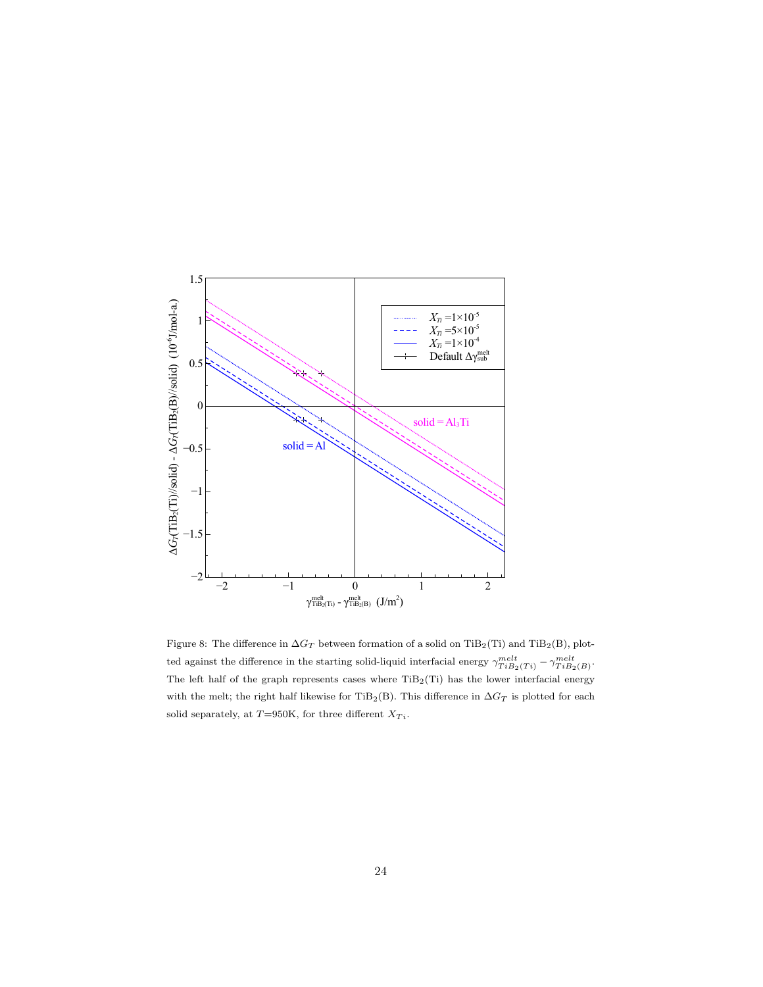

Figure 8: The difference in  $\Delta G_T$  between formation of a solid on TiB<sub>2</sub>(Ti) and TiB<sub>2</sub>(B), plotted against the difference in the starting solid-liquid interfacial energy  $\gamma_{TiB_2(Ti)}^{melt} - \gamma_{TiB_2(B)}^{melt}$ . The left half of the graph represents cases where  $TiB_2(Ti)$  has the lower interfacial energy with the melt; the right half likewise for TiB<sub>2</sub>(B). This difference in  $\Delta G_T$  is plotted for each solid separately, at T=950K, for three different  $X_{Ti}.$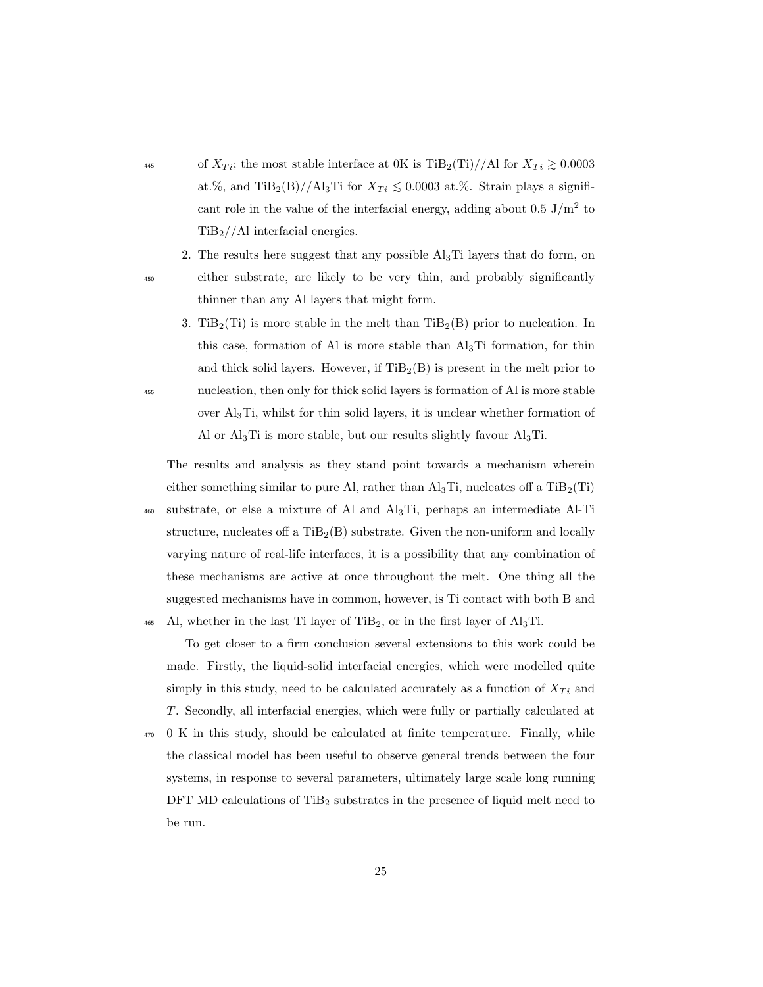- <sup>445</sup> of  $X_{Ti}$ ; the most stable interface at 0K is TiB<sub>2</sub>(Ti)//Al for  $X_{Ti} \ge 0.0003$ at.%, and TiB<sub>2</sub>(B)//Al<sub>3</sub>Ti for  $X_{Ti} \leq 0.0003$  at.%. Strain plays a significant role in the value of the interfacial energy, adding about  $0.5 \text{ J/m}^2$  to TiB2//Al interfacial energies.
- 2. The results here suggest that any possible  $\text{Al}_3\text{Ti}$  layers that do form, on <sup>450</sup> either substrate, are likely to be very thin, and probably significantly thinner than any Al layers that might form.
- 3. Ti $B_2(T_i)$  is more stable in the melt than Ti $B_2(B)$  prior to nucleation. In this case, formation of Al is more stable than  $\text{Al}_3\text{Ti}$  formation, for thin and thick solid layers. However, if  $TiB<sub>2</sub>(B)$  is present in the melt prior to <sup>455</sup> nucleation, then only for thick solid layers is formation of Al is more stable over Al3Ti, whilst for thin solid layers, it is unclear whether formation of Al or  $Al_3Ti$  is more stable, but our results slightly favour  $Al_3Ti$ .

The results and analysis as they stand point towards a mechanism wherein either something similar to pure Al, rather than  $\text{Al}_3\text{Ti}$ , nucleates off a  $\text{TiB}_2(\text{Ti})$ <sup>460</sup> substrate, or else a mixture of Al and Al3Ti, perhaps an intermediate Al-Ti structure, nucleates of a  $TIB_2(B)$  substrate. Given the non-uniform and locally varying nature of real-life interfaces, it is a possibility that any combination of these mechanisms are active at once throughout the melt. One thing all the suggested mechanisms have in common, however, is Ti contact with both B and 465 Al, whether in the last Ti layer of TiB<sub>2</sub>, or in the first layer of Al<sub>3</sub>Ti.

To get closer to a firm conclusion several extensions to this work could be made. Firstly, the liquid-solid interfacial energies, which were modelled quite simply in this study, need to be calculated accurately as a function of  $X_{Ti}$  and T. Secondly, all interfacial energies, which were fully or partially calculated at

<sup>470</sup> 0 K in this study, should be calculated at finite temperature. Finally, while the classical model has been useful to observe general trends between the four systems, in response to several parameters, ultimately large scale long running DFT MD calculations of  $TiB<sub>2</sub>$  substrates in the presence of liquid melt need to be run.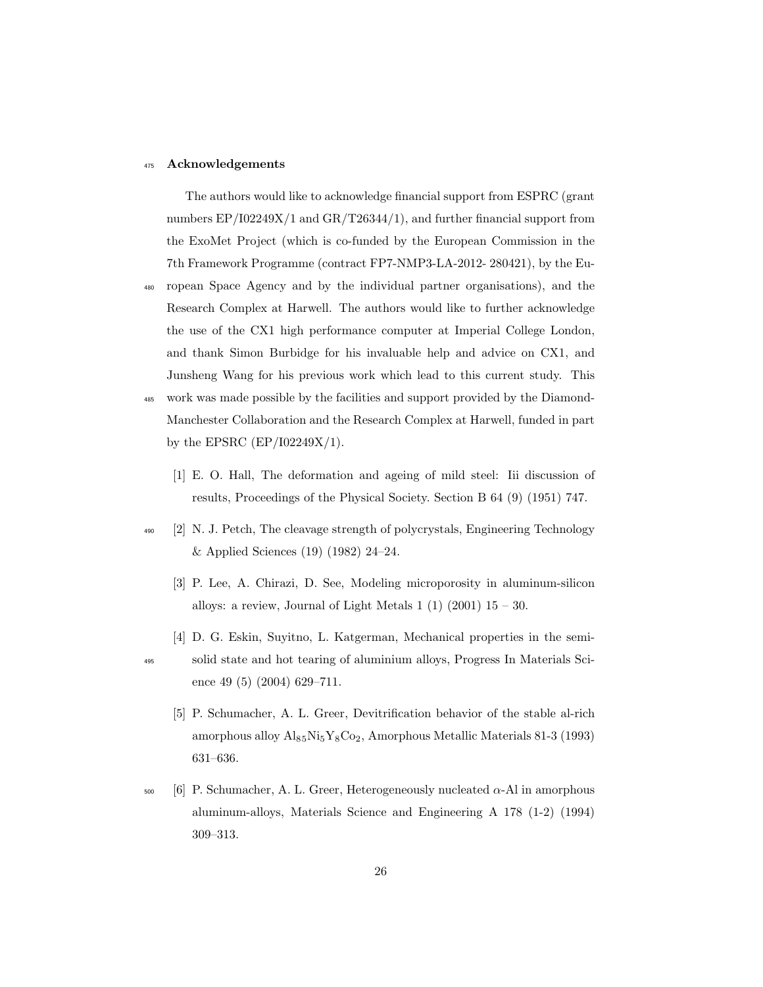### 475 Acknowledgements

The authors would like to acknowledge financial support from ESPRC (grant numbers EP/I02249X/1 and GR/T26344/1), and further financial support from the ExoMet Project (which is co-funded by the European Commission in the 7th Framework Programme (contract FP7-NMP3-LA-2012- 280421), by the Eu-

- <sup>480</sup> ropean Space Agency and by the individual partner organisations), and the Research Complex at Harwell. The authors would like to further acknowledge the use of the CX1 high performance computer at Imperial College London, and thank Simon Burbidge for his invaluable help and advice on CX1, and Junsheng Wang for his previous work which lead to this current study. This
- <sup>485</sup> work was made possible by the facilities and support provided by the Diamond-Manchester Collaboration and the Research Complex at Harwell, funded in part by the EPSRC  $(EP/I02249X/1)$ .
	- [1] E. O. Hall, The deformation and ageing of mild steel: Iii discussion of results, Proceedings of the Physical Society. Section B 64 (9) (1951) 747.
- <sup>490</sup> [2] N. J. Petch, The cleavage strength of polycrystals, Engineering Technology & Applied Sciences (19) (1982) 24–24.
	- [3] P. Lee, A. Chirazi, D. See, Modeling microporosity in aluminum-silicon alloys: a review, Journal of Light Metals  $1(1)(2001)$   $15-30$ .
	- [4] D. G. Eskin, Suyitno, L. Katgerman, Mechanical properties in the semi-
- 
- <sup>495</sup> solid state and hot tearing of aluminium alloys, Progress In Materials Science 49 (5) (2004) 629–711.
	- [5] P. Schumacher, A. L. Greer, Devitrification behavior of the stable al-rich amorphous alloy  $Al_{85}Ni_{5}Y_{8}Co_{2}$ , Amorphous Metallic Materials 81-3 (1993) 631–636.
- $500$  [6] P. Schumacher, A. L. Greer, Heterogeneously nucleated α-Al in amorphous aluminum-alloys, Materials Science and Engineering A 178 (1-2) (1994) 309–313.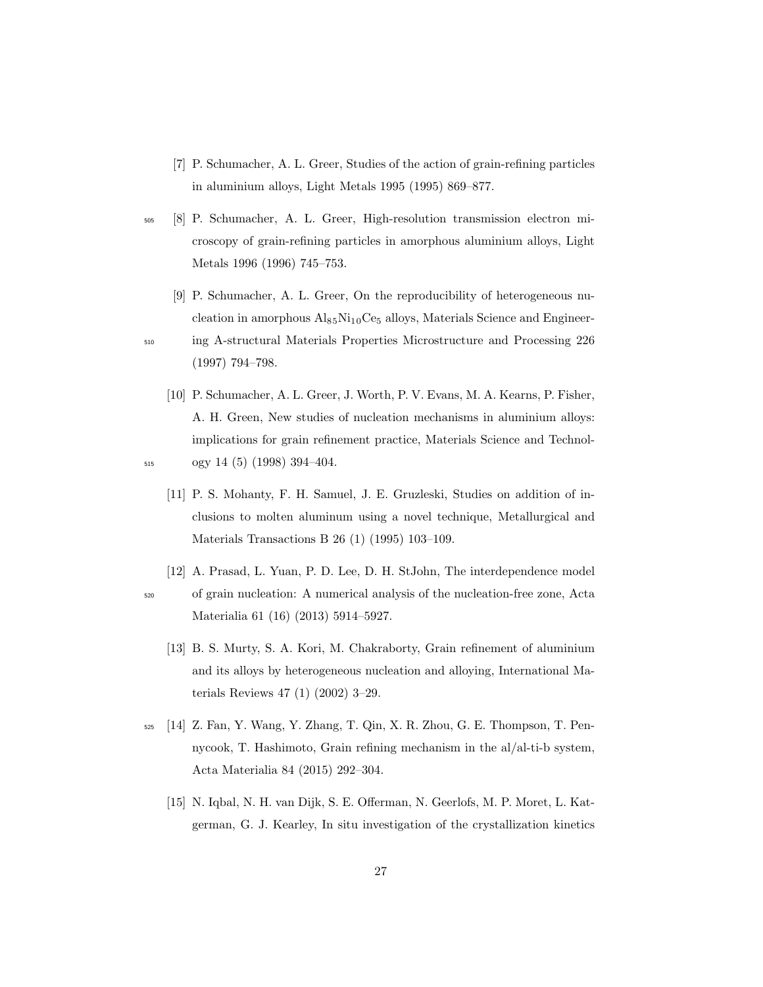- [7] P. Schumacher, A. L. Greer, Studies of the action of grain-refining particles in aluminium alloys, Light Metals 1995 (1995) 869–877.
- <sup>505</sup> [8] P. Schumacher, A. L. Greer, High-resolution transmission electron microscopy of grain-refining particles in amorphous aluminium alloys, Light Metals 1996 (1996) 745–753.
- [9] P. Schumacher, A. L. Greer, On the reproducibility of heterogeneous nucleation in amorphous  $\text{Al}_{85}\text{Ni}_{10}\text{Ce}_{5}$  alloys, Materials Science and Engineer-<sup>510</sup> ing A-structural Materials Properties Microstructure and Processing 226
	- [10] P. Schumacher, A. L. Greer, J. Worth, P. V. Evans, M. A. Kearns, P. Fisher, A. H. Green, New studies of nucleation mechanisms in aluminium alloys: implications for grain refinement practice, Materials Science and Technol-
- 
- <sup>515</sup> ogy 14 (5) (1998) 394–404.

(1997) 794–798.

- [11] P. S. Mohanty, F. H. Samuel, J. E. Gruzleski, Studies on addition of inclusions to molten aluminum using a novel technique, Metallurgical and Materials Transactions B 26 (1) (1995) 103–109.
- [12] A. Prasad, L. Yuan, P. D. Lee, D. H. StJohn, The interdependence model <sup>520</sup> of grain nucleation: A numerical analysis of the nucleation-free zone, Acta Materialia 61 (16) (2013) 5914–5927.
	- [13] B. S. Murty, S. A. Kori, M. Chakraborty, Grain refinement of aluminium and its alloys by heterogeneous nucleation and alloying, International Materials Reviews 47 (1) (2002) 3–29.
- <sup>525</sup> [14] Z. Fan, Y. Wang, Y. Zhang, T. Qin, X. R. Zhou, G. E. Thompson, T. Pennycook, T. Hashimoto, Grain refining mechanism in the al/al-ti-b system, Acta Materialia 84 (2015) 292–304.
	- [15] N. Iqbal, N. H. van Dijk, S. E. Offerman, N. Geerlofs, M. P. Moret, L. Katgerman, G. J. Kearley, In situ investigation of the crystallization kinetics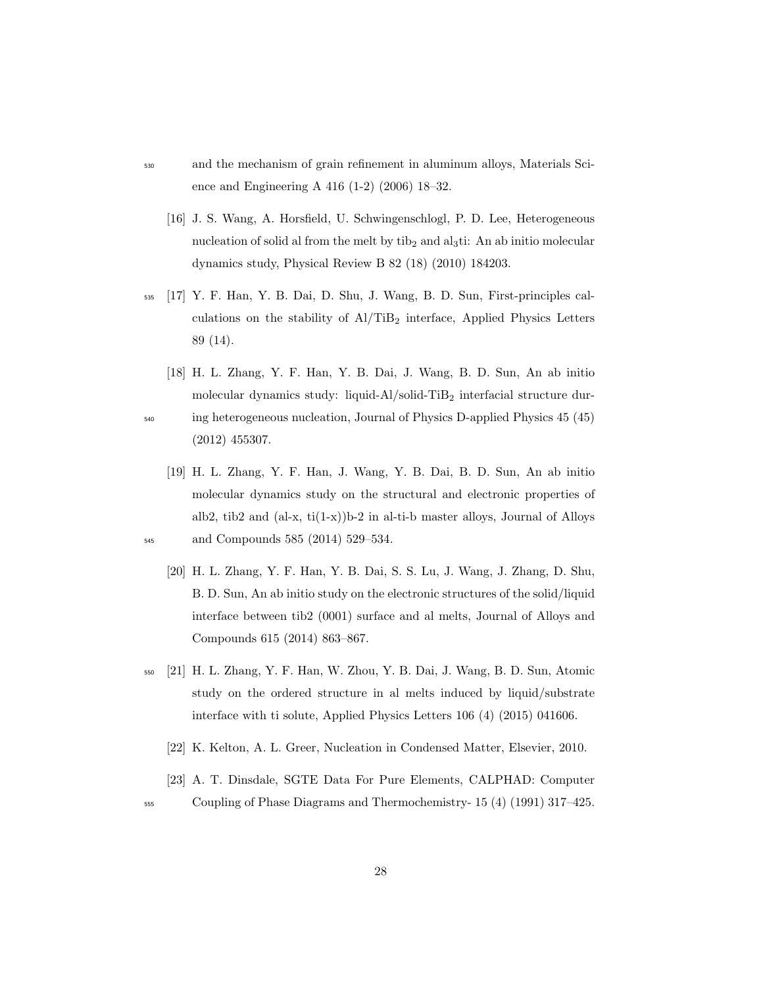- <sup>530</sup> and the mechanism of grain refinement in aluminum alloys, Materials Science and Engineering A 416 (1-2) (2006) 18–32.
	- [16] J. S. Wang, A. Horsfield, U. Schwingenschlogl, P. D. Lee, Heterogeneous nucleation of solid al from the melt by  $\mathrm{tib}_2$  and  $\mathrm{a} \mathrm{l}_3$ ti: An ab initio molecular dynamics study, Physical Review B 82 (18) (2010) 184203.
- <sup>535</sup> [17] Y. F. Han, Y. B. Dai, D. Shu, J. Wang, B. D. Sun, First-principles calculations on the stability of  $\text{Al}/\text{TiB}_2$  interface, Applied Physics Letters 89 (14).
- [18] H. L. Zhang, Y. F. Han, Y. B. Dai, J. Wang, B. D. Sun, An ab initio molecular dynamics study: liquid-Al/solid-TiB<sub>2</sub> interfacial structure dur-<sup>540</sup> ing heterogeneous nucleation, Journal of Physics D-applied Physics 45 (45) (2012) 455307.
- [19] H. L. Zhang, Y. F. Han, J. Wang, Y. B. Dai, B. D. Sun, An ab initio molecular dynamics study on the structural and electronic properties of alb2, tib2 and  $(al-x, ti(1-x))b-2$  in al-ti-b master alloys, Journal of Alloys <sup>545</sup> and Compounds 585 (2014) 529–534.
	- [20] H. L. Zhang, Y. F. Han, Y. B. Dai, S. S. Lu, J. Wang, J. Zhang, D. Shu, B. D. Sun, An ab initio study on the electronic structures of the solid/liquid interface between tib2 (0001) surface and al melts, Journal of Alloys and Compounds 615 (2014) 863–867.
- <sup>550</sup> [21] H. L. Zhang, Y. F. Han, W. Zhou, Y. B. Dai, J. Wang, B. D. Sun, Atomic study on the ordered structure in al melts induced by liquid/substrate interface with ti solute, Applied Physics Letters 106 (4) (2015) 041606.
	- [22] K. Kelton, A. L. Greer, Nucleation in Condensed Matter, Elsevier, 2010.
	- [23] A. T. Dinsdale, SGTE Data For Pure Elements, CALPHAD: Computer

<sup>555</sup> Coupling of Phase Diagrams and Thermochemistry- 15 (4) (1991) 317–425.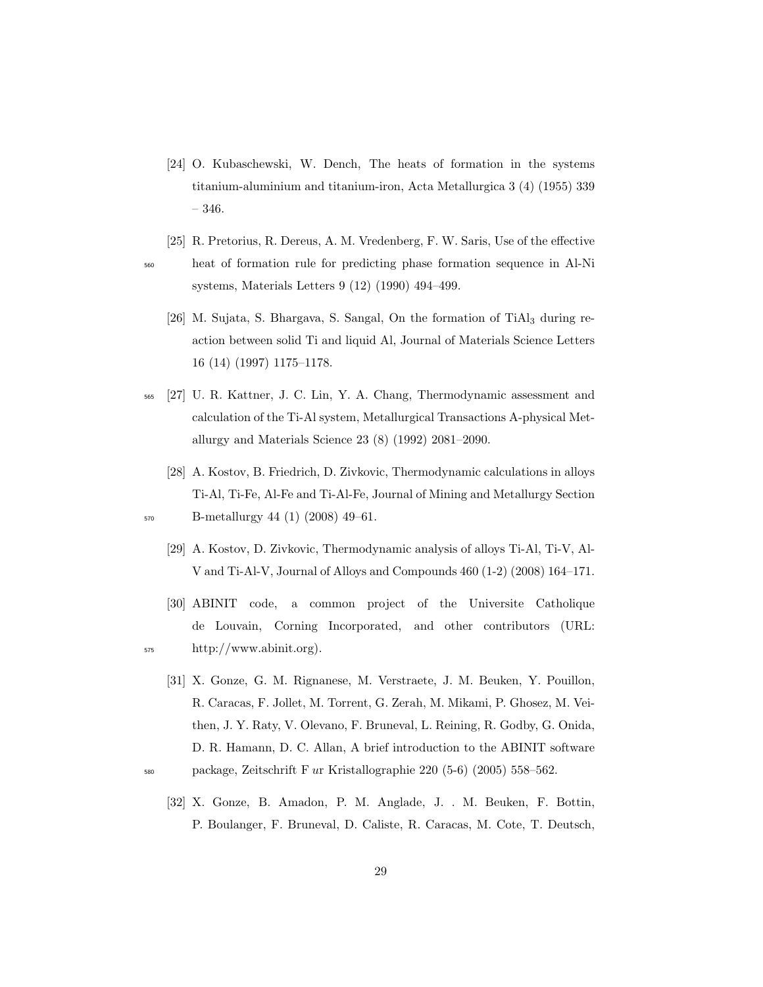- [24] O. Kubaschewski, W. Dench, The heats of formation in the systems titanium-aluminium and titanium-iron, Acta Metallurgica 3 (4) (1955) 339 – 346.
- [25] R. Pretorius, R. Dereus, A. M. Vredenberg, F. W. Saris, Use of the effective <sup>560</sup> heat of formation rule for predicting phase formation sequence in Al-Ni systems, Materials Letters 9 (12) (1990) 494–499.
	- [26] M. Sujata, S. Bhargava, S. Sangal, On the formation of  $Tial<sub>3</sub>$  during reaction between solid Ti and liquid Al, Journal of Materials Science Letters 16 (14) (1997) 1175–1178.
- <sup>565</sup> [27] U. R. Kattner, J. C. Lin, Y. A. Chang, Thermodynamic assessment and calculation of the Ti-Al system, Metallurgical Transactions A-physical Metallurgy and Materials Science 23 (8) (1992) 2081–2090.
- [28] A. Kostov, B. Friedrich, D. Zivkovic, Thermodynamic calculations in alloys Ti-Al, Ti-Fe, Al-Fe and Ti-Al-Fe, Journal of Mining and Metallurgy Section <sup>570</sup> B-metallurgy 44 (1) (2008) 49–61.
	- - [29] A. Kostov, D. Zivkovic, Thermodynamic analysis of alloys Ti-Al, Ti-V, Al-V and Ti-Al-V, Journal of Alloys and Compounds 460 (1-2) (2008) 164–171.
- [30] ABINIT code, a common project of the Universite Catholique de Louvain, Corning Incorporated, and other contributors (URL: <sup>575</sup> http://www.abinit.org).
- [31] X. Gonze, G. M. Rignanese, M. Verstraete, J. M. Beuken, Y. Pouillon, R. Caracas, F. Jollet, M. Torrent, G. Zerah, M. Mikami, P. Ghosez, M. Veithen, J. Y. Raty, V. Olevano, F. Bruneval, L. Reining, R. Godby, G. Onida, D. R. Hamann, D. C. Allan, A brief introduction to the ABINIT software <sup>580</sup> package, Zeitschrift F ur Kristallographie 220 (5-6) (2005) 558–562.
	- [32] X. Gonze, B. Amadon, P. M. Anglade, J. . M. Beuken, F. Bottin, P. Boulanger, F. Bruneval, D. Caliste, R. Caracas, M. Cote, T. Deutsch,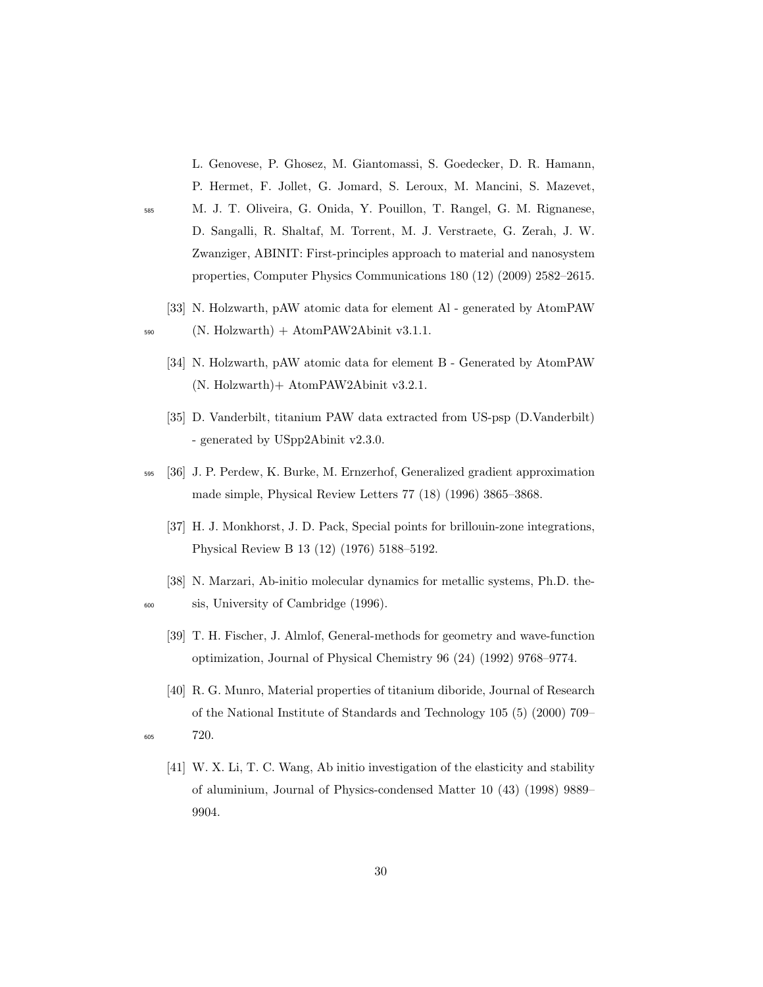L. Genovese, P. Ghosez, M. Giantomassi, S. Goedecker, D. R. Hamann, P. Hermet, F. Jollet, G. Jomard, S. Leroux, M. Mancini, S. Mazevet,

- <sup>585</sup> M. J. T. Oliveira, G. Onida, Y. Pouillon, T. Rangel, G. M. Rignanese, D. Sangalli, R. Shaltaf, M. Torrent, M. J. Verstraete, G. Zerah, J. W. Zwanziger, ABINIT: First-principles approach to material and nanosystem properties, Computer Physics Communications 180 (12) (2009) 2582–2615.
- [33] N. Holzwarth, pAW atomic data for element Al generated by AtomPAW  $_{590}$  (N. Holzwarth) + AtomPAW2Abinit v3.1.1.
	- [34] N. Holzwarth, pAW atomic data for element B Generated by AtomPAW (N. Holzwarth)+ AtomPAW2Abinit v3.2.1.
	- [35] D. Vanderbilt, titanium PAW data extracted from US-psp (D.Vanderbilt) - generated by USpp2Abinit v2.3.0.
- <sup>595</sup> [36] J. P. Perdew, K. Burke, M. Ernzerhof, Generalized gradient approximation made simple, Physical Review Letters 77 (18) (1996) 3865–3868.
	- [37] H. J. Monkhorst, J. D. Pack, Special points for brillouin-zone integrations, Physical Review B 13 (12) (1976) 5188–5192.
- [38] N. Marzari, Ab-initio molecular dynamics for metallic systems, Ph.D. the-<sup>600</sup> sis, University of Cambridge (1996).
	- [39] T. H. Fischer, J. Almlof, General-methods for geometry and wave-function optimization, Journal of Physical Chemistry 96 (24) (1992) 9768–9774.
- [40] R. G. Munro, Material properties of titanium diboride, Journal of Research of the National Institute of Standards and Technology 105 (5) (2000) 709– <sup>605</sup> 720.
	- [41] W. X. Li, T. C. Wang, Ab initio investigation of the elasticity and stability of aluminium, Journal of Physics-condensed Matter 10 (43) (1998) 9889– 9904.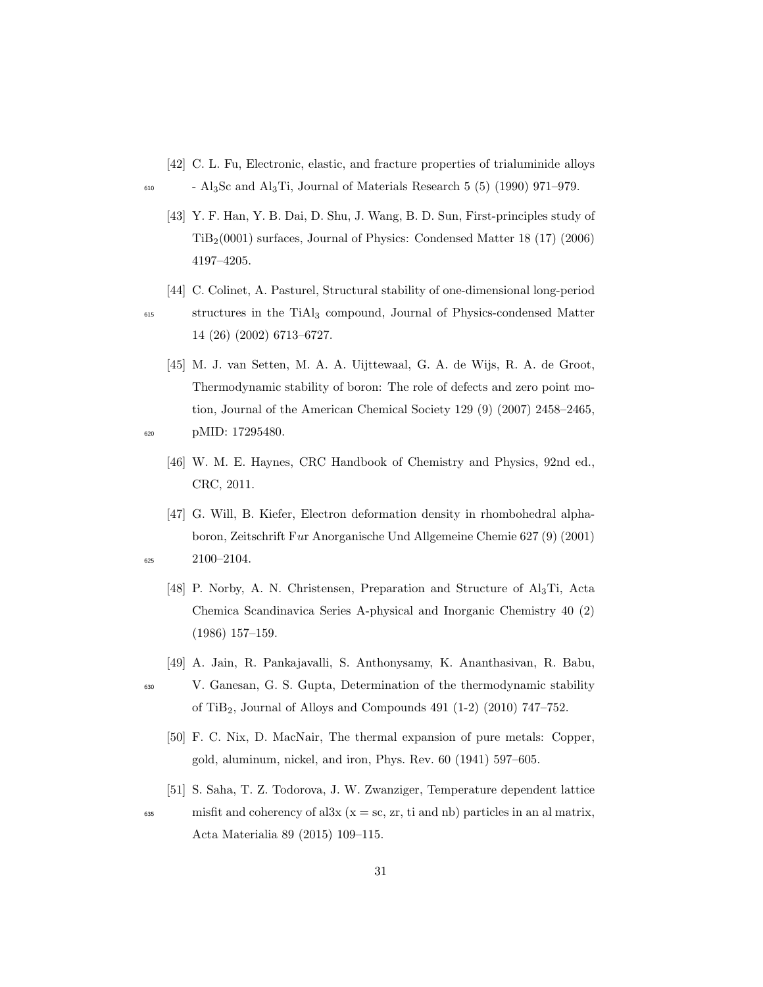- [42] C. L. Fu, Electronic, elastic, and fracture properties of trialuminide alloys
- $\epsilon_{610}$  Al<sub>3</sub>Sc and Al<sub>3</sub>Ti, Journal of Materials Research 5 (5) (1990) 971–979.
	- [43] Y. F. Han, Y. B. Dai, D. Shu, J. Wang, B. D. Sun, First-principles study of TiB2(0001) surfaces, Journal of Physics: Condensed Matter 18 (17) (2006) 4197–4205.
	- [44] C. Colinet, A. Pasturel, Structural stability of one-dimensional long-period

- <sup>615</sup> structures in the TiAl<sup>3</sup> compound, Journal of Physics-condensed Matter 14 (26) (2002) 6713–6727.
- [45] M. J. van Setten, M. A. A. Uijttewaal, G. A. de Wijs, R. A. de Groot, Thermodynamic stability of boron: The role of defects and zero point motion, Journal of the American Chemical Society 129 (9) (2007) 2458–2465, <sup>620</sup> pMID: 17295480.
- - [46] W. M. E. Haynes, CRC Handbook of Chemistry and Physics, 92nd ed., CRC, 2011.
- [47] G. Will, B. Kiefer, Electron deformation density in rhombohedral alphaboron, Zeitschrift Fur Anorganische Und Allgemeine Chemie 627 (9) (2001)  $2100 - 2104.$ 
	- [48] P. Norby, A. N. Christensen, Preparation and Structure of Al3Ti, Acta Chemica Scandinavica Series A-physical and Inorganic Chemistry 40 (2) (1986) 157–159.
	- [49] A. Jain, R. Pankajavalli, S. Anthonysamy, K. Ananthasivan, R. Babu,
- <sup>630</sup> V. Ganesan, G. S. Gupta, Determination of the thermodynamic stability of TiB2, Journal of Alloys and Compounds 491 (1-2) (2010) 747–752.
	- [50] F. C. Nix, D. MacNair, The thermal expansion of pure metals: Copper, gold, aluminum, nickel, and iron, Phys. Rev. 60 (1941) 597–605.
	- [51] S. Saha, T. Z. Todorova, J. W. Zwanziger, Temperature dependent lattice

 $\mu_{\text{635}}$  misfit and coherency of al3x (x = sc, zr, ti and nb) particles in an al matrix, Acta Materialia 89 (2015) 109–115.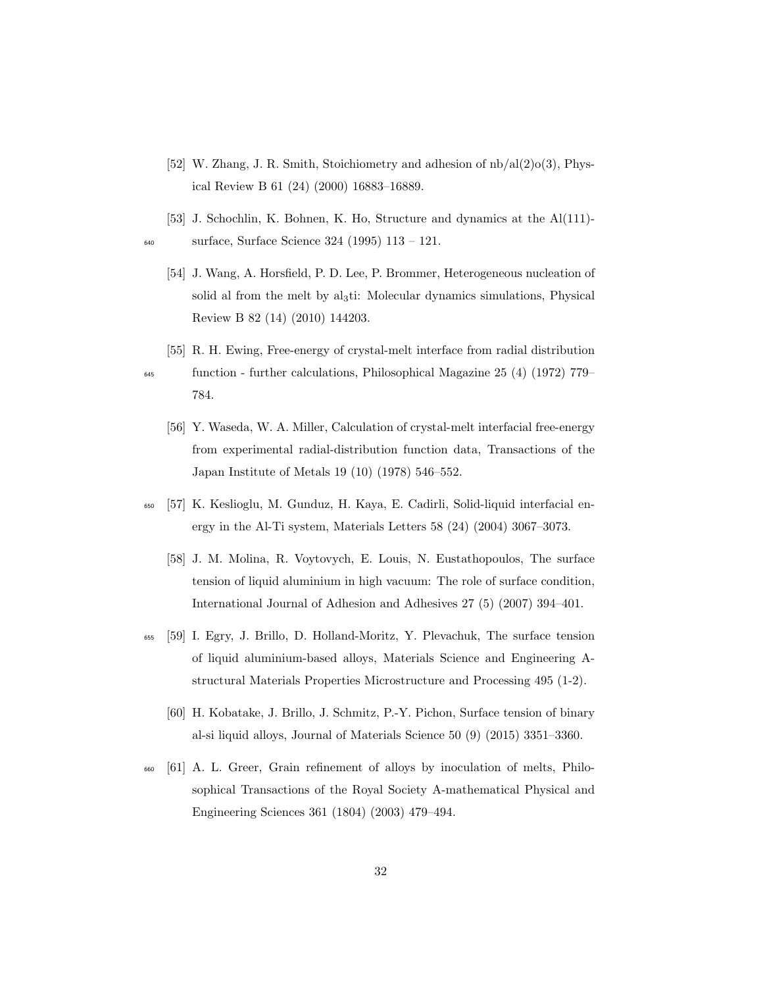- [52] W. Zhang, J. R. Smith, Stoichiometry and adhesion of nb/al(2)o(3), Physical Review B 61 (24) (2000) 16883–16889.
- [53] J. Schochlin, K. Bohnen, K. Ho, Structure and dynamics at the Al(111)- <sup>640</sup> surface, Surface Science 324 (1995) 113 – 121.
	- [54] J. Wang, A. Horsfield, P. D. Lee, P. Brommer, Heterogeneous nucleation of solid al from the melt by al<sub>3</sub>ti: Molecular dynamics simulations, Physical Review B 82 (14) (2010) 144203.
	- [55] R. H. Ewing, Free-energy of crystal-melt interface from radial distribution

- <sup>645</sup> function further calculations, Philosophical Magazine 25 (4) (1972) 779– 784.
	- [56] Y. Waseda, W. A. Miller, Calculation of crystal-melt interfacial free-energy from experimental radial-distribution function data, Transactions of the Japan Institute of Metals 19 (10) (1978) 546–552.
- <sup>650</sup> [57] K. Keslioglu, M. Gunduz, H. Kaya, E. Cadirli, Solid-liquid interfacial energy in the Al-Ti system, Materials Letters 58 (24) (2004) 3067–3073.
	- [58] J. M. Molina, R. Voytovych, E. Louis, N. Eustathopoulos, The surface tension of liquid aluminium in high vacuum: The role of surface condition, International Journal of Adhesion and Adhesives 27 (5) (2007) 394–401.
- <sup>655</sup> [59] I. Egry, J. Brillo, D. Holland-Moritz, Y. Plevachuk, The surface tension of liquid aluminium-based alloys, Materials Science and Engineering Astructural Materials Properties Microstructure and Processing 495 (1-2).
	- [60] H. Kobatake, J. Brillo, J. Schmitz, P.-Y. Pichon, Surface tension of binary al-si liquid alloys, Journal of Materials Science 50 (9) (2015) 3351–3360.
- <sup>660</sup> [61] A. L. Greer, Grain refinement of alloys by inoculation of melts, Philosophical Transactions of the Royal Society A-mathematical Physical and Engineering Sciences 361 (1804) (2003) 479–494.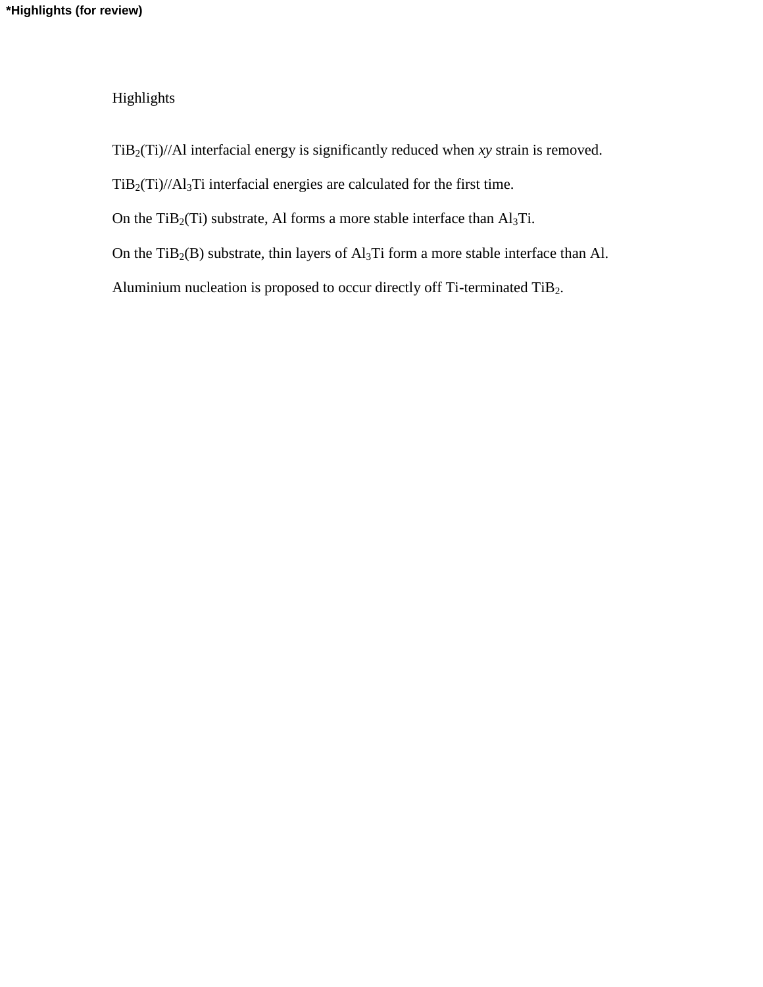Highlights

TiB2(Ti)//Al interfacial energy is significantly reduced when *xy* strain is removed.

TiB2(Ti)//Al3Ti interfacial energies are calculated for the first time.

On the TiB<sub>2</sub>(Ti) substrate, Al forms a more stable interface than  $Al<sub>3</sub>Ti$ .

On the TiB<sub>2</sub>(B) substrate, thin layers of  $Al<sub>3</sub>Ti$  form a more stable interface than Al.

Aluminium nucleation is proposed to occur directly off Ti-terminated TiB2.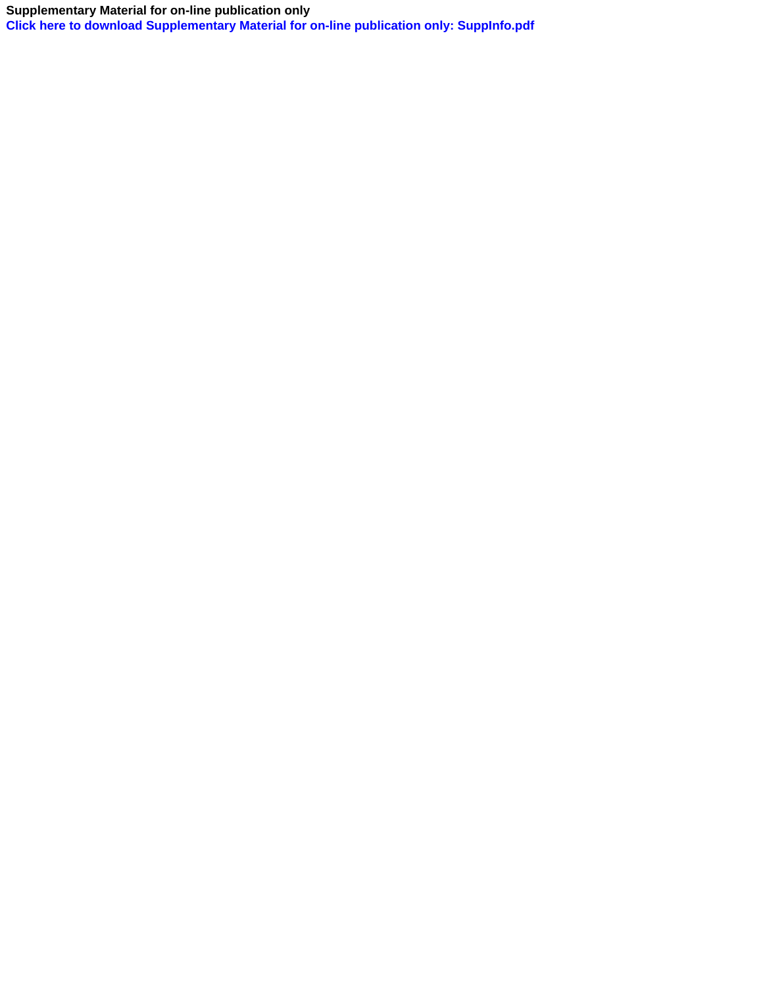## **Supplementary Material for on-line publication only**

**[Click here to download Supplementary Material for on-line publication only: SuppInfo.pdf](http://ees.elsevier.com/jalcom/download.aspx?id=2436674&guid=b2daa427-374e-499f-84a6-bf5be20dfb22&scheme=1)**